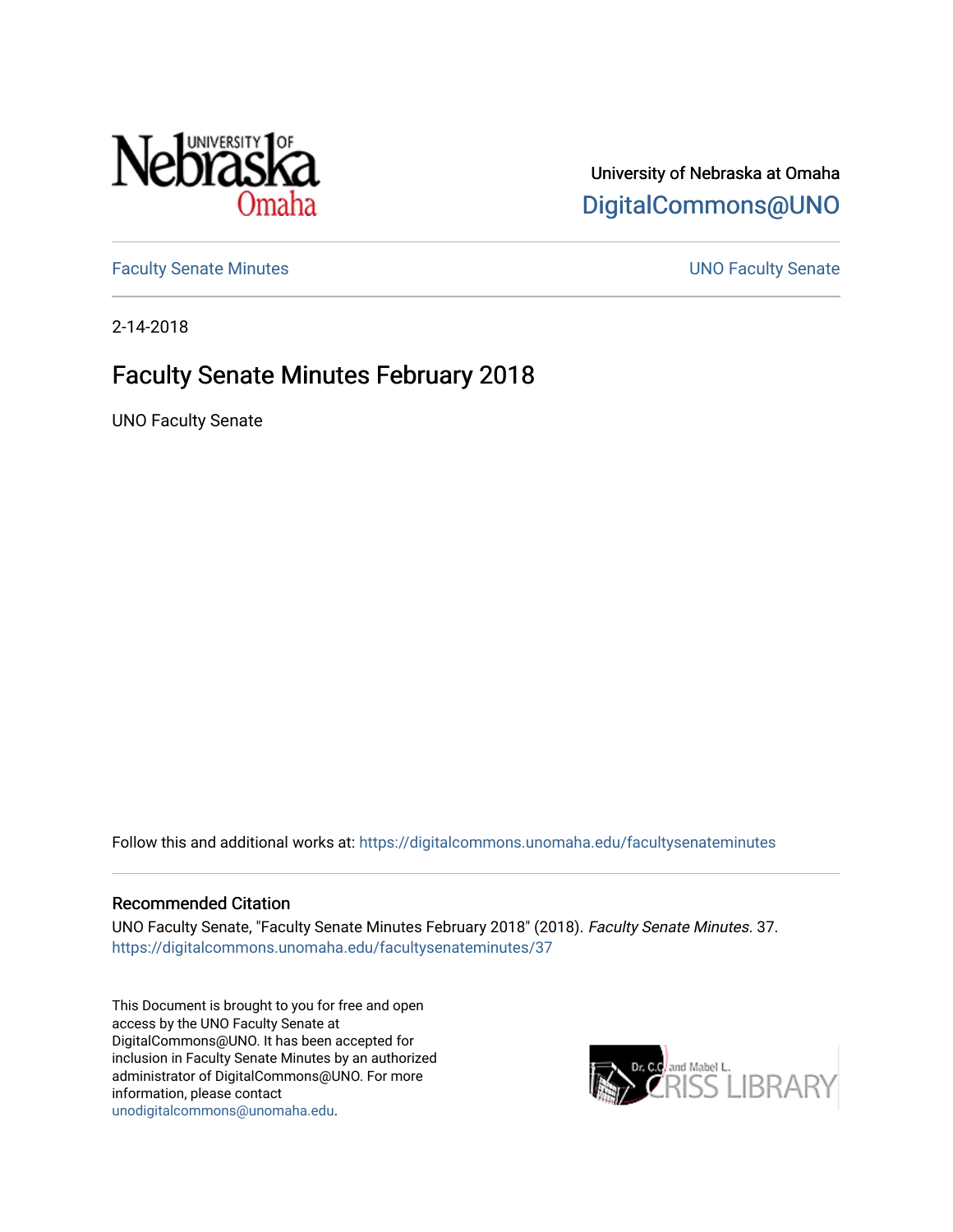

# University of Nebraska at Omaha [DigitalCommons@UNO](https://digitalcommons.unomaha.edu/)

[Faculty Senate Minutes](https://digitalcommons.unomaha.edu/facultysenateminutes) **Example 2018** UNO Faculty Senate

2-14-2018

# Faculty Senate Minutes February 2018

UNO Faculty Senate

Follow this and additional works at: [https://digitalcommons.unomaha.edu/facultysenateminutes](https://digitalcommons.unomaha.edu/facultysenateminutes?utm_source=digitalcommons.unomaha.edu%2Ffacultysenateminutes%2F37&utm_medium=PDF&utm_campaign=PDFCoverPages) 

#### Recommended Citation

UNO Faculty Senate, "Faculty Senate Minutes February 2018" (2018). Faculty Senate Minutes. 37. [https://digitalcommons.unomaha.edu/facultysenateminutes/37](https://digitalcommons.unomaha.edu/facultysenateminutes/37?utm_source=digitalcommons.unomaha.edu%2Ffacultysenateminutes%2F37&utm_medium=PDF&utm_campaign=PDFCoverPages) 

This Document is brought to you for free and open access by the UNO Faculty Senate at DigitalCommons@UNO. It has been accepted for inclusion in Faculty Senate Minutes by an authorized administrator of DigitalCommons@UNO. For more information, please contact [unodigitalcommons@unomaha.edu.](mailto:unodigitalcommons@unomaha.edu)

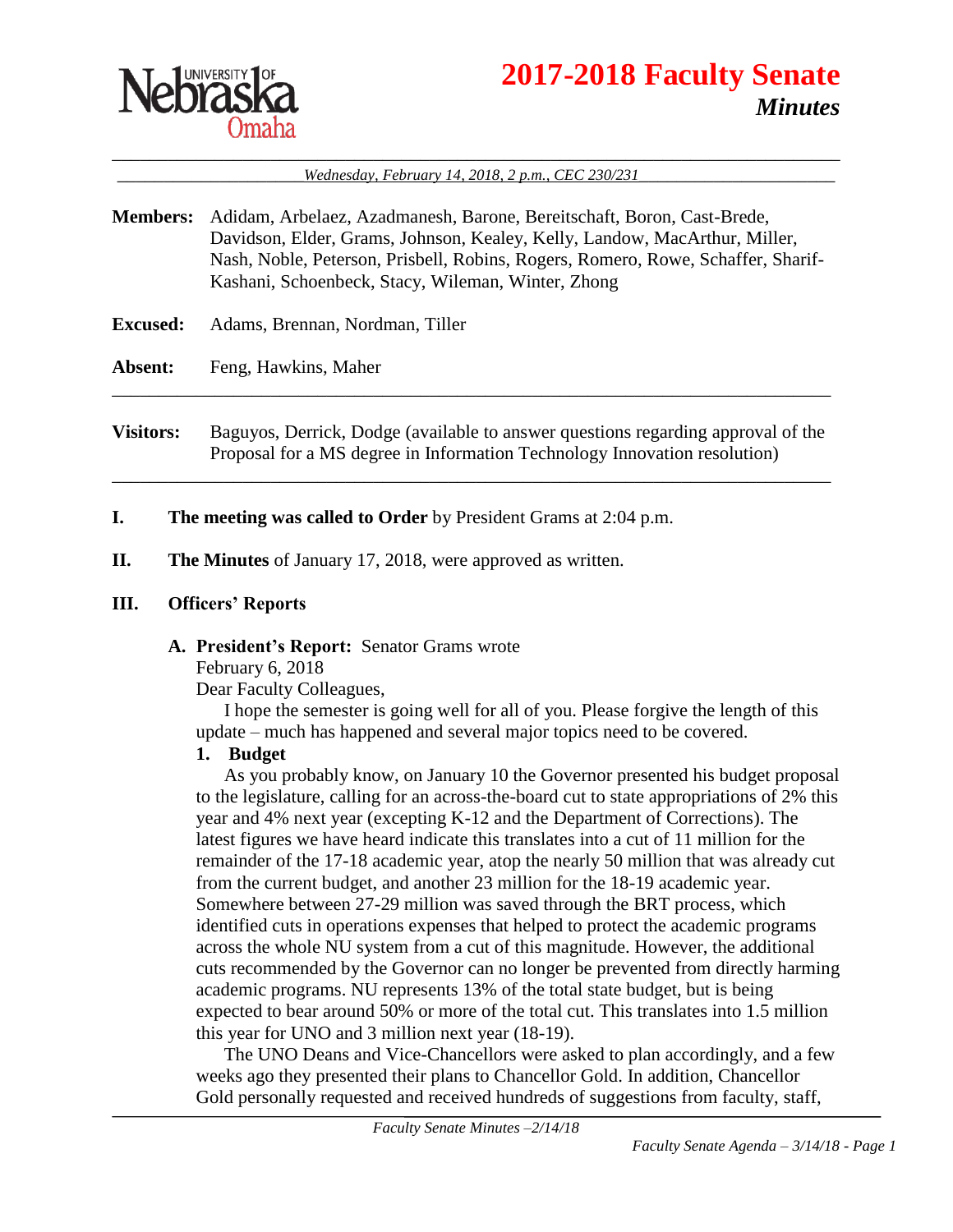

# **2017-2018 Faculty Senate** *Minutes*

\_\_\_\_\_\_\_\_\_\_\_\_\_\_\_\_\_\_\_\_\_\_\_\_\_\_\_\_\_\_\_\_\_\_\_\_\_\_\_\_\_\_\_\_\_\_\_\_\_\_\_\_\_\_\_\_\_\_\_\_\_\_\_\_\_\_\_\_\_\_\_\_\_\_\_\_\_\_ \_\_\_\_\_\_\_\_\_\_\_\_\_\_\_\_\_\_\_\_*Wednesday, February 14, 2018, 2 p.m., CEC 230/231*\_\_\_\_\_\_\_\_\_\_\_\_\_\_\_\_\_\_\_\_\_

- **Members:** Adidam, Arbelaez, Azadmanesh, Barone, Bereitschaft, Boron, Cast-Brede, Davidson, Elder, Grams, Johnson, Kealey, Kelly, Landow, MacArthur, Miller, Nash, Noble, Peterson, Prisbell, Robins, Rogers, Romero, Rowe, Schaffer, Sharif-Kashani, Schoenbeck, Stacy, Wileman, Winter, Zhong
- **Excused:** Adams, Brennan, Nordman, Tiller

**Absent:** Feng, Hawkins, Maher

**Visitors:** Baguyos, Derrick, Dodge (available to answer questions regarding approval of the Proposal for a MS degree in Information Technology Innovation resolution)

\_\_\_\_\_\_\_\_\_\_\_\_\_\_\_\_\_\_\_\_\_\_\_\_\_\_\_\_\_\_\_\_\_\_\_\_\_\_\_\_\_\_\_\_\_\_\_\_\_\_\_\_\_\_\_\_\_\_\_\_\_\_\_\_\_\_\_\_\_\_\_\_\_\_\_\_\_

\_\_\_\_\_\_\_\_\_\_\_\_\_\_\_\_\_\_\_\_\_\_\_\_\_\_\_\_\_\_\_\_\_\_\_\_\_\_\_\_\_\_\_\_\_\_\_\_\_\_\_\_\_\_\_\_\_\_\_\_\_\_\_\_\_\_\_\_\_\_\_\_\_\_\_\_\_

- **I. The meeting was called to Order** by President Grams at 2:04 p.m.
- **II. The Minutes** of January 17, 2018, were approved as written.

#### **III. Officers' Reports**

#### **A. President's Report:** Senator Grams wrote

February 6, 2018

Dear Faculty Colleagues,

I hope the semester is going well for all of you. Please forgive the length of this update – much has happened and several major topics need to be covered.

#### **1. Budget**

As you probably know, on January 10 the Governor presented his budget proposal to the legislature, calling for an across-the-board cut to state appropriations of 2% this year and 4% next year (excepting K-12 and the Department of Corrections). The latest figures we have heard indicate this translates into a cut of 11 million for the remainder of the 17-18 academic year, atop the nearly 50 million that was already cut from the current budget, and another 23 million for the 18-19 academic year. Somewhere between 27-29 million was saved through the BRT process, which identified cuts in operations expenses that helped to protect the academic programs across the whole NU system from a cut of this magnitude. However, the additional cuts recommended by the Governor can no longer be prevented from directly harming academic programs. NU represents 13% of the total state budget, but is being expected to bear around 50% or more of the total cut. This translates into 1.5 million this year for UNO and 3 million next year (18-19).

The UNO Deans and Vice-Chancellors were asked to plan accordingly, and a few weeks ago they presented their plans to Chancellor Gold. In addition, Chancellor Gold personally requested and received hundreds of suggestions from faculty, staff,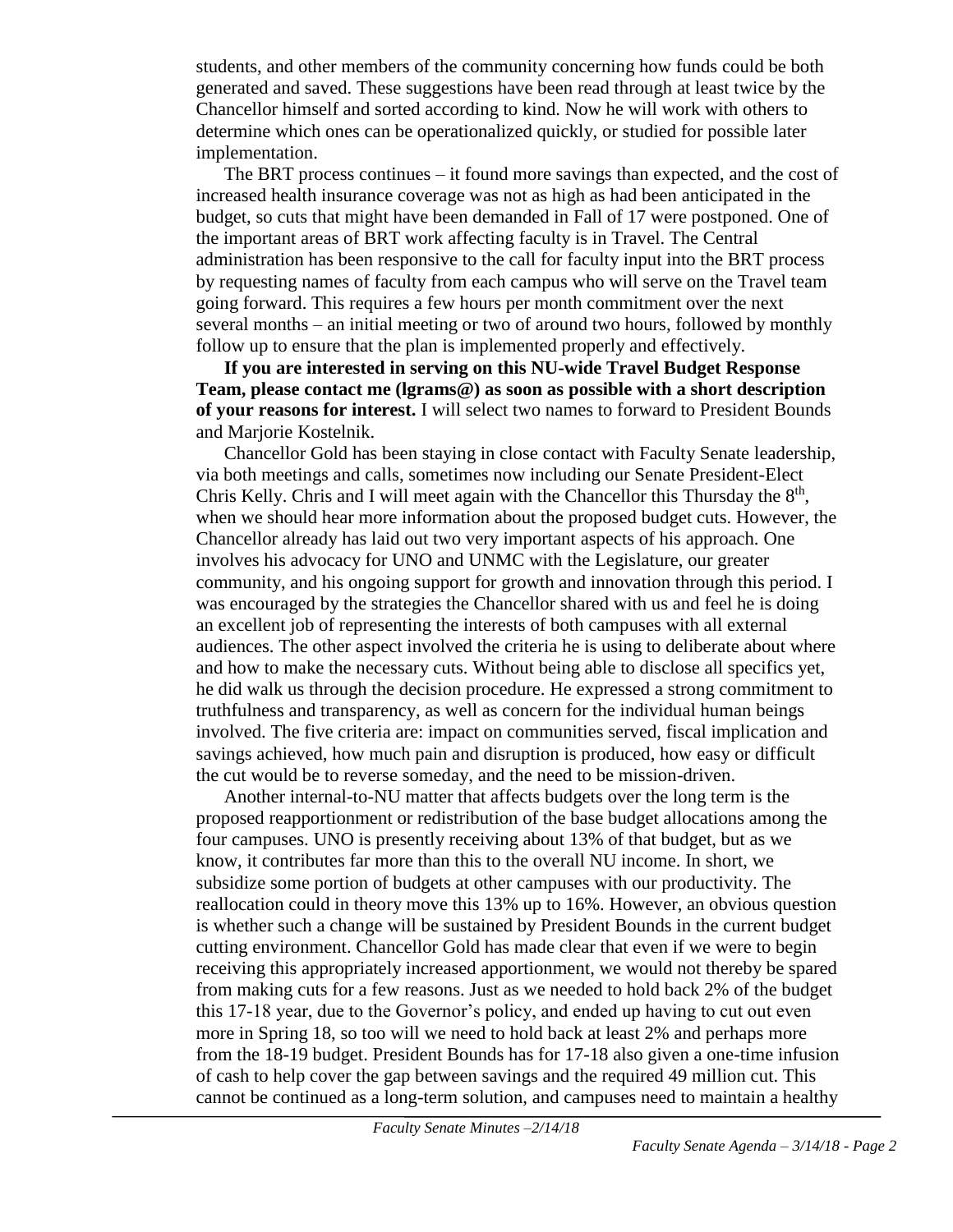students, and other members of the community concerning how funds could be both generated and saved. These suggestions have been read through at least twice by the Chancellor himself and sorted according to kind. Now he will work with others to determine which ones can be operationalized quickly, or studied for possible later implementation.

The BRT process continues – it found more savings than expected, and the cost of increased health insurance coverage was not as high as had been anticipated in the budget, so cuts that might have been demanded in Fall of 17 were postponed. One of the important areas of BRT work affecting faculty is in Travel. The Central administration has been responsive to the call for faculty input into the BRT process by requesting names of faculty from each campus who will serve on the Travel team going forward. This requires a few hours per month commitment over the next several months – an initial meeting or two of around two hours, followed by monthly follow up to ensure that the plan is implemented properly and effectively.

**If you are interested in serving on this NU-wide Travel Budget Response Team, please contact me (lgrams@) as soon as possible with a short description of your reasons for interest.** I will select two names to forward to President Bounds and Marjorie Kostelnik.

Chancellor Gold has been staying in close contact with Faculty Senate leadership, via both meetings and calls, sometimes now including our Senate President-Elect Chris Kelly. Chris and I will meet again with the Chancellor this Thursday the  $8<sup>th</sup>$ , when we should hear more information about the proposed budget cuts. However, the Chancellor already has laid out two very important aspects of his approach. One involves his advocacy for UNO and UNMC with the Legislature, our greater community, and his ongoing support for growth and innovation through this period. I was encouraged by the strategies the Chancellor shared with us and feel he is doing an excellent job of representing the interests of both campuses with all external audiences. The other aspect involved the criteria he is using to deliberate about where and how to make the necessary cuts. Without being able to disclose all specifics yet, he did walk us through the decision procedure. He expressed a strong commitment to truthfulness and transparency, as well as concern for the individual human beings involved. The five criteria are: impact on communities served, fiscal implication and savings achieved, how much pain and disruption is produced, how easy or difficult the cut would be to reverse someday, and the need to be mission-driven.

Another internal-to-NU matter that affects budgets over the long term is the proposed reapportionment or redistribution of the base budget allocations among the four campuses. UNO is presently receiving about 13% of that budget, but as we know, it contributes far more than this to the overall NU income. In short, we subsidize some portion of budgets at other campuses with our productivity. The reallocation could in theory move this 13% up to 16%. However, an obvious question is whether such a change will be sustained by President Bounds in the current budget cutting environment. Chancellor Gold has made clear that even if we were to begin receiving this appropriately increased apportionment, we would not thereby be spared from making cuts for a few reasons. Just as we needed to hold back 2% of the budget this 17-18 year, due to the Governor's policy, and ended up having to cut out even more in Spring 18, so too will we need to hold back at least 2% and perhaps more from the 18-19 budget. President Bounds has for 17-18 also given a one-time infusion of cash to help cover the gap between savings and the required 49 million cut. This cannot be continued as a long-term solution, and campuses need to maintain a healthy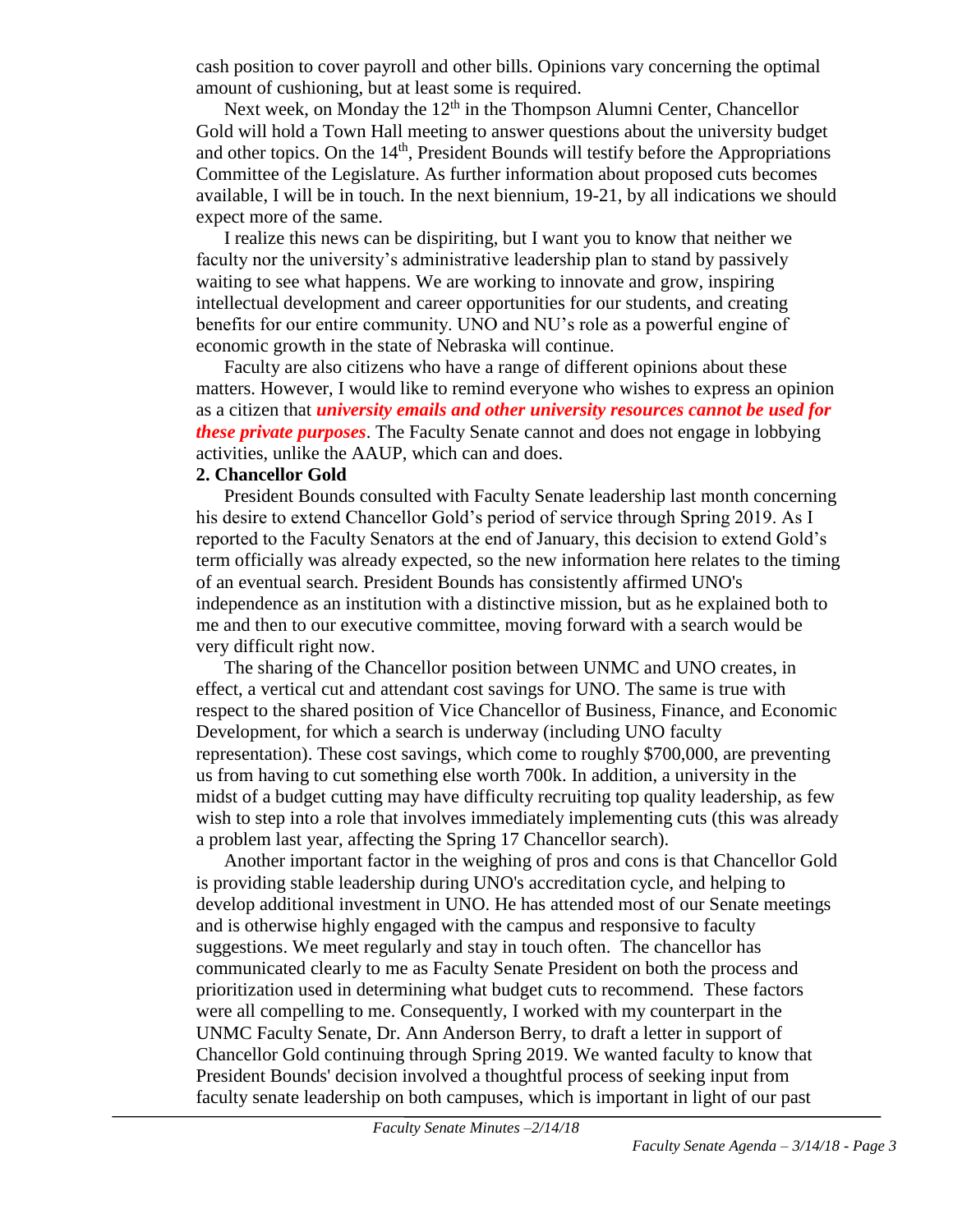cash position to cover payroll and other bills. Opinions vary concerning the optimal amount of cushioning, but at least some is required.

Next week, on Monday the  $12<sup>th</sup>$  in the Thompson Alumni Center, Chancellor Gold will hold a Town Hall meeting to answer questions about the university budget and other topics. On the  $14<sup>th</sup>$ , President Bounds will testify before the Appropriations Committee of the Legislature. As further information about proposed cuts becomes available, I will be in touch. In the next biennium, 19-21, by all indications we should expect more of the same.

I realize this news can be dispiriting, but I want you to know that neither we faculty nor the university's administrative leadership plan to stand by passively waiting to see what happens. We are working to innovate and grow, inspiring intellectual development and career opportunities for our students, and creating benefits for our entire community. UNO and NU's role as a powerful engine of economic growth in the state of Nebraska will continue.

Faculty are also citizens who have a range of different opinions about these matters. However, I would like to remind everyone who wishes to express an opinion as a citizen that *university emails and other university resources cannot be used for these private purposes*. The Faculty Senate cannot and does not engage in lobbying activities, unlike the AAUP, which can and does.

#### **2. Chancellor Gold**

President Bounds consulted with Faculty Senate leadership last month concerning his desire to extend Chancellor Gold's period of service through Spring 2019. As I reported to the Faculty Senators at the end of January, this decision to extend Gold's term officially was already expected, so the new information here relates to the timing of an eventual search. President Bounds has consistently affirmed UNO's independence as an institution with a distinctive mission, but as he explained both to me and then to our executive committee, moving forward with a search would be very difficult right now.

The sharing of the Chancellor position between UNMC and UNO creates, in effect, a vertical cut and attendant cost savings for UNO. The same is true with respect to the shared position of Vice Chancellor of Business, Finance, and Economic Development, for which a search is underway (including UNO faculty representation). These cost savings, which come to roughly \$700,000, are preventing us from having to cut something else worth 700k. In addition, a university in the midst of a budget cutting may have difficulty recruiting top quality leadership, as few wish to step into a role that involves immediately implementing cuts (this was already a problem last year, affecting the Spring 17 Chancellor search).

Another important factor in the weighing of pros and cons is that Chancellor Gold is providing stable leadership during UNO's accreditation cycle, and helping to develop additional investment in UNO. He has attended most of our Senate meetings and is otherwise highly engaged with the campus and responsive to faculty suggestions. We meet regularly and stay in touch often. The chancellor has communicated clearly to me as Faculty Senate President on both the process and prioritization used in determining what budget cuts to recommend. These factors were all compelling to me. Consequently, I worked with my counterpart in the UNMC Faculty Senate, Dr. Ann Anderson Berry, to draft a letter in support of Chancellor Gold continuing through Spring 2019. We wanted faculty to know that President Bounds' decision involved a thoughtful process of seeking input from faculty senate leadership on both campuses, which is important in light of our past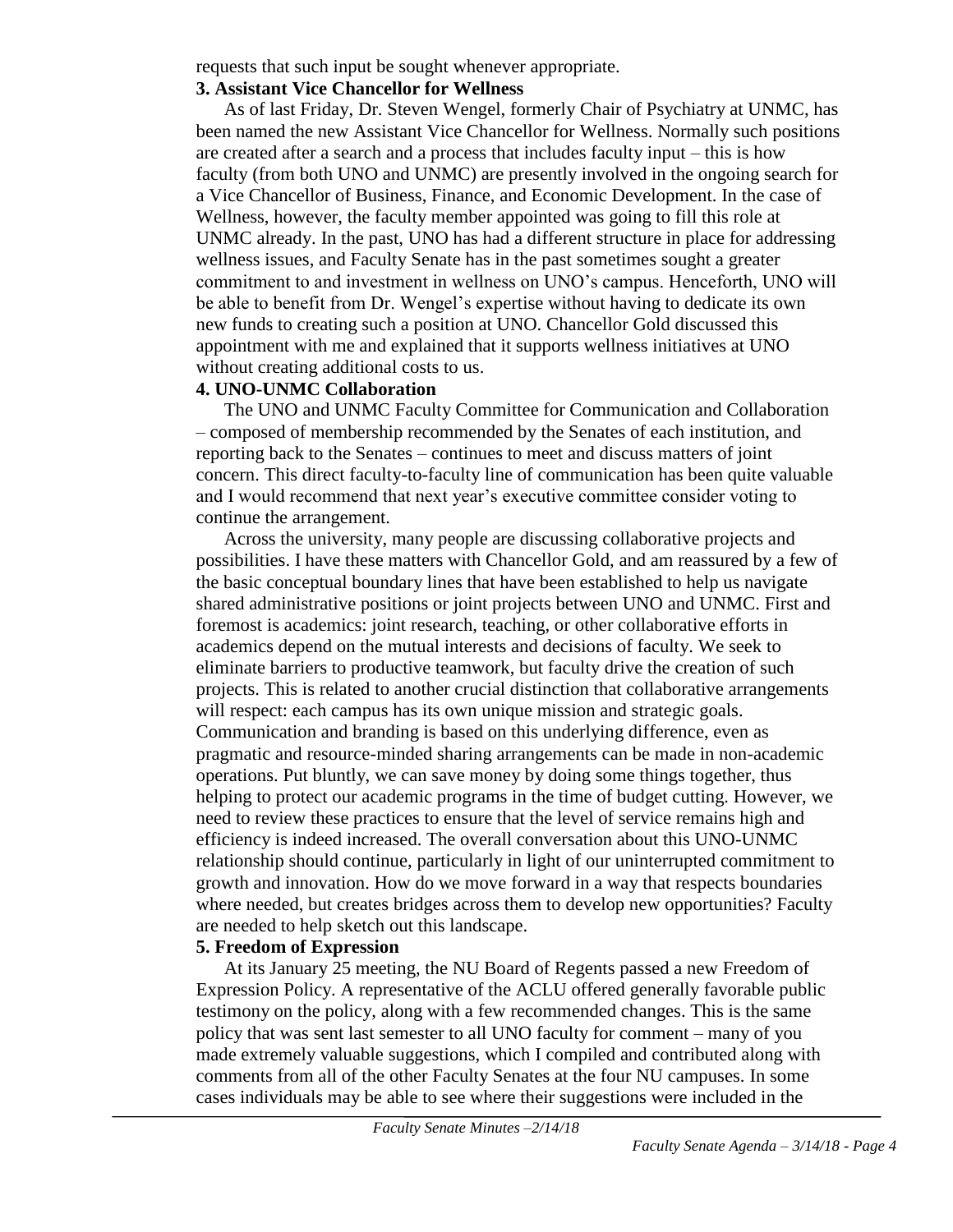requests that such input be sought whenever appropriate.

### **3. Assistant Vice Chancellor for Wellness**

As of last Friday, Dr. Steven Wengel, formerly Chair of Psychiatry at UNMC, has been named the new Assistant Vice Chancellor for Wellness. Normally such positions are created after a search and a process that includes faculty input – this is how faculty (from both UNO and UNMC) are presently involved in the ongoing search for a Vice Chancellor of Business, Finance, and Economic Development. In the case of Wellness, however, the faculty member appointed was going to fill this role at UNMC already. In the past, UNO has had a different structure in place for addressing wellness issues, and Faculty Senate has in the past sometimes sought a greater commitment to and investment in wellness on UNO's campus. Henceforth, UNO will be able to benefit from Dr. Wengel's expertise without having to dedicate its own new funds to creating such a position at UNO. Chancellor Gold discussed this appointment with me and explained that it supports wellness initiatives at UNO without creating additional costs to us.

#### **4. UNO-UNMC Collaboration**

The UNO and UNMC Faculty Committee for Communication and Collaboration – composed of membership recommended by the Senates of each institution, and reporting back to the Senates – continues to meet and discuss matters of joint concern. This direct faculty-to-faculty line of communication has been quite valuable and I would recommend that next year's executive committee consider voting to continue the arrangement.

Across the university, many people are discussing collaborative projects and possibilities. I have these matters with Chancellor Gold, and am reassured by a few of the basic conceptual boundary lines that have been established to help us navigate shared administrative positions or joint projects between UNO and UNMC. First and foremost is academics: joint research, teaching, or other collaborative efforts in academics depend on the mutual interests and decisions of faculty. We seek to eliminate barriers to productive teamwork, but faculty drive the creation of such projects. This is related to another crucial distinction that collaborative arrangements will respect: each campus has its own unique mission and strategic goals. Communication and branding is based on this underlying difference, even as pragmatic and resource-minded sharing arrangements can be made in non-academic operations. Put bluntly, we can save money by doing some things together, thus helping to protect our academic programs in the time of budget cutting. However, we need to review these practices to ensure that the level of service remains high and efficiency is indeed increased. The overall conversation about this UNO-UNMC relationship should continue, particularly in light of our uninterrupted commitment to growth and innovation. How do we move forward in a way that respects boundaries where needed, but creates bridges across them to develop new opportunities? Faculty are needed to help sketch out this landscape.

#### **5. Freedom of Expression**

At its January 25 meeting, the NU Board of Regents passed a new Freedom of Expression Policy. A representative of the ACLU offered generally favorable public testimony on the policy, along with a few recommended changes. This is the same policy that was sent last semester to all UNO faculty for comment – many of you made extremely valuable suggestions, which I compiled and contributed along with comments from all of the other Faculty Senates at the four NU campuses. In some cases individuals may be able to see where their suggestions were included in the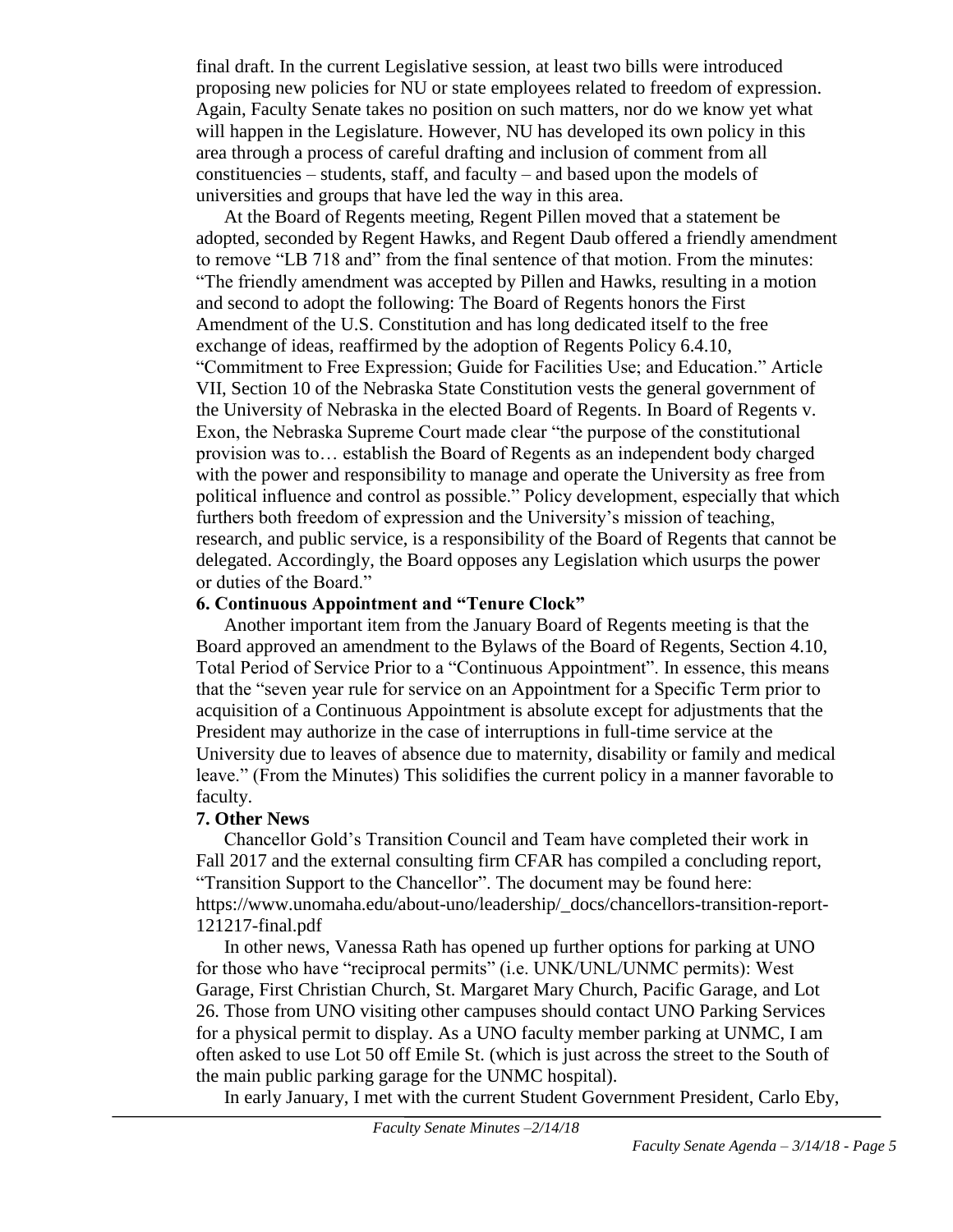final draft. In the current Legislative session, at least two bills were introduced proposing new policies for NU or state employees related to freedom of expression. Again, Faculty Senate takes no position on such matters, nor do we know yet what will happen in the Legislature. However, NU has developed its own policy in this area through a process of careful drafting and inclusion of comment from all constituencies – students, staff, and faculty – and based upon the models of universities and groups that have led the way in this area.

At the Board of Regents meeting, Regent Pillen moved that a statement be adopted, seconded by Regent Hawks, and Regent Daub offered a friendly amendment to remove "LB 718 and" from the final sentence of that motion. From the minutes: "The friendly amendment was accepted by Pillen and Hawks, resulting in a motion and second to adopt the following: The Board of Regents honors the First Amendment of the U.S. Constitution and has long dedicated itself to the free exchange of ideas, reaffirmed by the adoption of Regents Policy 6.4.10, "Commitment to Free Expression; Guide for Facilities Use; and Education." Article VII, Section 10 of the Nebraska State Constitution vests the general government of the University of Nebraska in the elected Board of Regents. In Board of Regents v. Exon, the Nebraska Supreme Court made clear "the purpose of the constitutional provision was to… establish the Board of Regents as an independent body charged with the power and responsibility to manage and operate the University as free from political influence and control as possible." Policy development, especially that which furthers both freedom of expression and the University's mission of teaching, research, and public service, is a responsibility of the Board of Regents that cannot be delegated. Accordingly, the Board opposes any Legislation which usurps the power or duties of the Board."

### **6. Continuous Appointment and "Tenure Clock"**

Another important item from the January Board of Regents meeting is that the Board approved an amendment to the Bylaws of the Board of Regents, Section 4.10, Total Period of Service Prior to a "Continuous Appointment". In essence, this means that the "seven year rule for service on an Appointment for a Specific Term prior to acquisition of a Continuous Appointment is absolute except for adjustments that the President may authorize in the case of interruptions in full-time service at the University due to leaves of absence due to maternity, disability or family and medical leave." (From the Minutes) This solidifies the current policy in a manner favorable to faculty.

## **7. Other News**

Chancellor Gold's Transition Council and Team have completed their work in Fall 2017 and the external consulting firm CFAR has compiled a concluding report, "Transition Support to the Chancellor". The document may be found here: https://www.unomaha.edu/about-uno/leadership/\_docs/chancellors-transition-report-121217-final.pdf

In other news, Vanessa Rath has opened up further options for parking at UNO for those who have "reciprocal permits" (i.e. UNK/UNL/UNMC permits): West Garage, First Christian Church, St. Margaret Mary Church, Pacific Garage, and Lot 26. Those from UNO visiting other campuses should contact UNO Parking Services for a physical permit to display. As a UNO faculty member parking at UNMC, I am often asked to use Lot 50 off Emile St. (which is just across the street to the South of the main public parking garage for the UNMC hospital).

In early January, I met with the current Student Government President, Carlo Eby,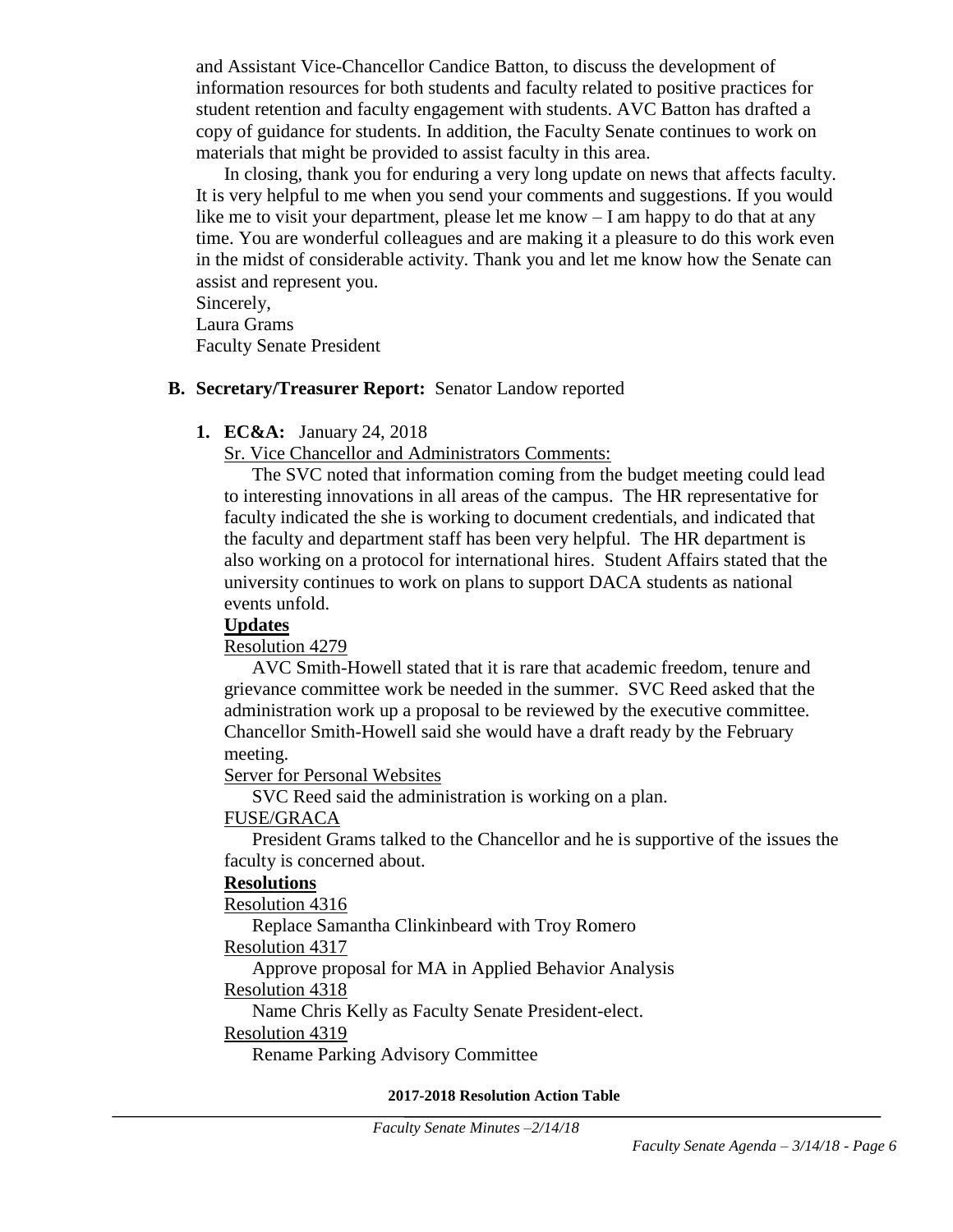and Assistant Vice-Chancellor Candice Batton, to discuss the development of information resources for both students and faculty related to positive practices for student retention and faculty engagement with students. AVC Batton has drafted a copy of guidance for students. In addition, the Faculty Senate continues to work on materials that might be provided to assist faculty in this area.

In closing, thank you for enduring a very long update on news that affects faculty. It is very helpful to me when you send your comments and suggestions. If you would like me to visit your department, please let me know – I am happy to do that at any time. You are wonderful colleagues and are making it a pleasure to do this work even in the midst of considerable activity. Thank you and let me know how the Senate can assist and represent you.

Sincerely, Laura Grams Faculty Senate President

### **B. Secretary/Treasurer Report:** Senator Landow reported

### **1. EC&A:** January 24, 2018

Sr. Vice Chancellor and Administrators Comments:

The SVC noted that information coming from the budget meeting could lead to interesting innovations in all areas of the campus. The HR representative for faculty indicated the she is working to document credentials, and indicated that the faculty and department staff has been very helpful. The HR department is also working on a protocol for international hires. Student Affairs stated that the university continues to work on plans to support DACA students as national events unfold.

#### **Updates**

Resolution 4279

AVC Smith-Howell stated that it is rare that academic freedom, tenure and grievance committee work be needed in the summer. SVC Reed asked that the administration work up a proposal to be reviewed by the executive committee. Chancellor Smith-Howell said she would have a draft ready by the February meeting.

Server for Personal Websites

SVC Reed said the administration is working on a plan.

## FUSE/GRACA

President Grams talked to the Chancellor and he is supportive of the issues the faculty is concerned about.

#### **Resolutions**

Resolution 4316

Replace Samantha Clinkinbeard with Troy Romero

## Resolution 4317

Approve proposal for MA in Applied Behavior Analysis

# Resolution 4318

Name Chris Kelly as Faculty Senate President-elect.

#### Resolution 4319

Rename Parking Advisory Committee

#### **2017-2018 Resolution Action Table**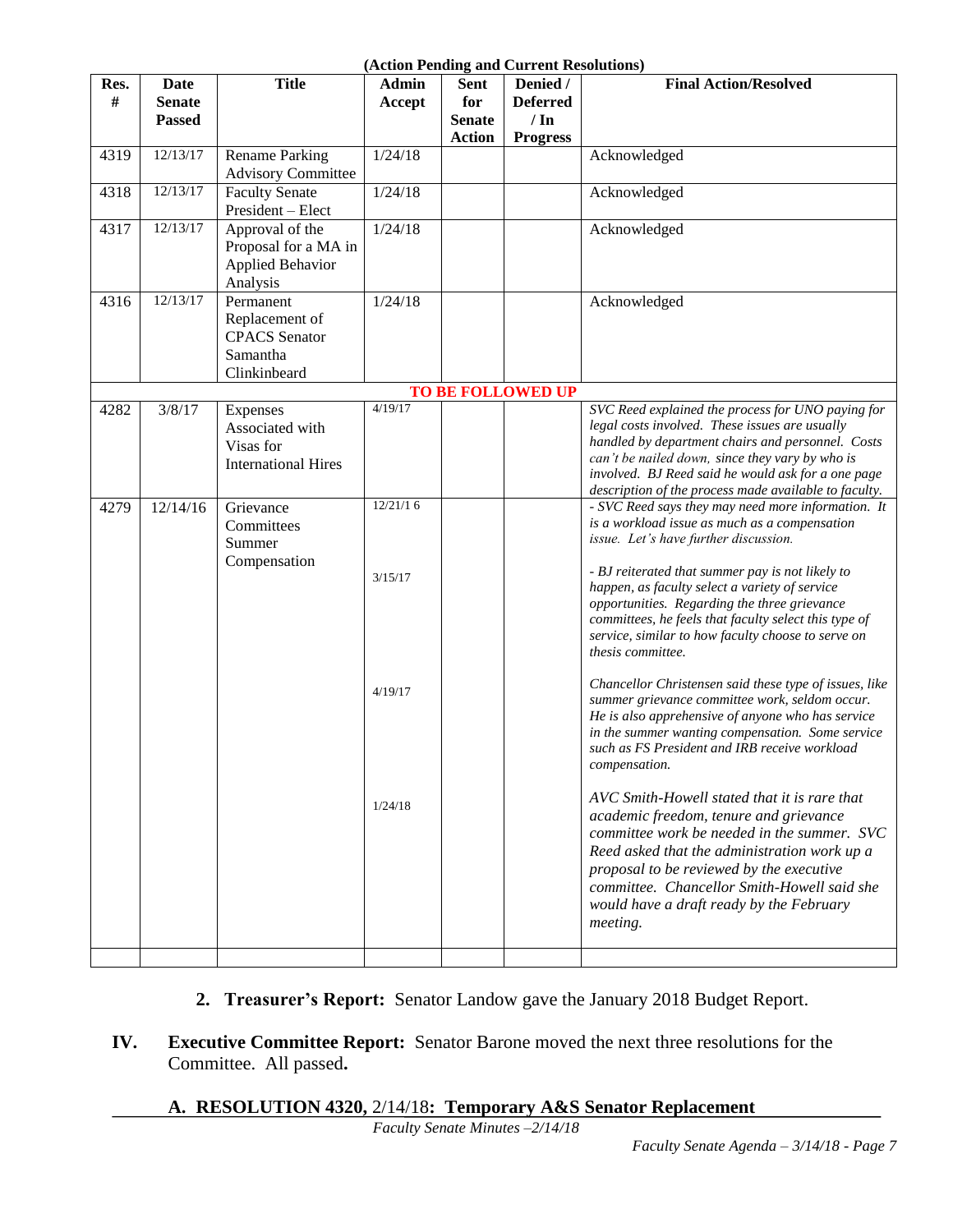#### **(Action Pending and Current Resolutions)**

|      |               |                            | (Acuon Fending and Current Resolutions) |               |                          |                                                                                                     |
|------|---------------|----------------------------|-----------------------------------------|---------------|--------------------------|-----------------------------------------------------------------------------------------------------|
| Res. | Date          | <b>Title</b>               | Admin                                   | <b>Sent</b>   | Denied /                 | <b>Final Action/Resolved</b>                                                                        |
| #    | <b>Senate</b> |                            | Accept                                  | for           | <b>Deferred</b>          |                                                                                                     |
|      | <b>Passed</b> |                            |                                         | <b>Senate</b> | $/ \ln$                  |                                                                                                     |
|      |               |                            |                                         | <b>Action</b> | <b>Progress</b>          |                                                                                                     |
| 4319 | 12/13/17      | <b>Rename Parking</b>      | 1/24/18                                 |               |                          | Acknowledged                                                                                        |
|      |               | <b>Advisory Committee</b>  |                                         |               |                          |                                                                                                     |
| 4318 | 12/13/17      | <b>Faculty Senate</b>      | 1/24/18                                 |               |                          | Acknowledged                                                                                        |
|      |               | President - Elect          |                                         |               |                          |                                                                                                     |
| 4317 | 12/13/17      | Approval of the            | 1/24/18                                 |               |                          | Acknowledged                                                                                        |
|      |               | Proposal for a MA in       |                                         |               |                          |                                                                                                     |
|      |               | <b>Applied Behavior</b>    |                                         |               |                          |                                                                                                     |
|      |               | Analysis                   |                                         |               |                          |                                                                                                     |
| 4316 | 12/13/17      | Permanent                  | 1/24/18                                 |               |                          | Acknowledged                                                                                        |
|      |               | Replacement of             |                                         |               |                          |                                                                                                     |
|      |               | <b>CPACS</b> Senator       |                                         |               |                          |                                                                                                     |
|      |               | Samantha                   |                                         |               |                          |                                                                                                     |
|      |               | Clinkinbeard               |                                         |               |                          |                                                                                                     |
|      |               |                            |                                         |               | <b>TO BE FOLLOWED UP</b> |                                                                                                     |
| 4282 | 3/8/17        | Expenses                   | 4/19/17                                 |               |                          | SVC Reed explained the process for UNO paying for                                                   |
|      |               | Associated with            |                                         |               |                          | legal costs involved. These issues are usually<br>handled by department chairs and personnel. Costs |
|      |               | Visas for                  |                                         |               |                          | can't be nailed down, since they vary by who is                                                     |
|      |               | <b>International Hires</b> |                                         |               |                          | involved. BJ Reed said he would ask for a one page                                                  |
|      |               |                            |                                         |               |                          | description of the process made available to faculty.                                               |
| 4279 | 12/14/16      | Grievance                  | 12/21/16                                |               |                          | - SVC Reed says they may need more information. It                                                  |
|      |               | Committees                 |                                         |               |                          | is a workload issue as much as a compensation                                                       |
|      |               | Summer                     |                                         |               |                          | issue. Let's have further discussion.                                                               |
|      |               | Compensation               |                                         |               |                          |                                                                                                     |
|      |               |                            | 3/15/17                                 |               |                          | - BJ reiterated that summer pay is not likely to                                                    |
|      |               |                            |                                         |               |                          | happen, as faculty select a variety of service<br>opportunities. Regarding the three grievance      |
|      |               |                            |                                         |               |                          | committees, he feels that faculty select this type of                                               |
|      |               |                            |                                         |               |                          | service, similar to how faculty choose to serve on                                                  |
|      |               |                            |                                         |               |                          | thesis committee.                                                                                   |
|      |               |                            |                                         |               |                          |                                                                                                     |
|      |               |                            | 4/19/17                                 |               |                          | Chancellor Christensen said these type of issues, like                                              |
|      |               |                            |                                         |               |                          | summer grievance committee work, seldom occur.                                                      |
|      |               |                            |                                         |               |                          | He is also apprehensive of anyone who has service                                                   |
|      |               |                            |                                         |               |                          | in the summer wanting compensation. Some service<br>such as FS President and IRB receive workload   |
|      |               |                            |                                         |               |                          | compensation.                                                                                       |
|      |               |                            |                                         |               |                          |                                                                                                     |
|      |               |                            | 1/24/18                                 |               |                          | AVC Smith-Howell stated that it is rare that                                                        |
|      |               |                            |                                         |               |                          | academic freedom, tenure and grievance                                                              |
|      |               |                            |                                         |               |                          | committee work be needed in the summer. SVC                                                         |
|      |               |                            |                                         |               |                          | Reed asked that the administration work up a                                                        |
|      |               |                            |                                         |               |                          | proposal to be reviewed by the executive                                                            |
|      |               |                            |                                         |               |                          | committee. Chancellor Smith-Howell said she                                                         |
|      |               |                            |                                         |               |                          | would have a draft ready by the February                                                            |
|      |               |                            |                                         |               |                          | meeting.                                                                                            |
|      |               |                            |                                         |               |                          |                                                                                                     |
|      |               |                            |                                         |               |                          |                                                                                                     |

- **2. Treasurer's Report:** Senator Landow gave the January 2018 Budget Report.
- **IV. Executive Committee Report:** Senator Barone moved the next three resolutions for the Committee. All passed**.**

## **A. RESOLUTION 4320,** 2/14/18**: Temporary A&S Senator Replacement**

*Faculty Senate Minutes –2/14/18*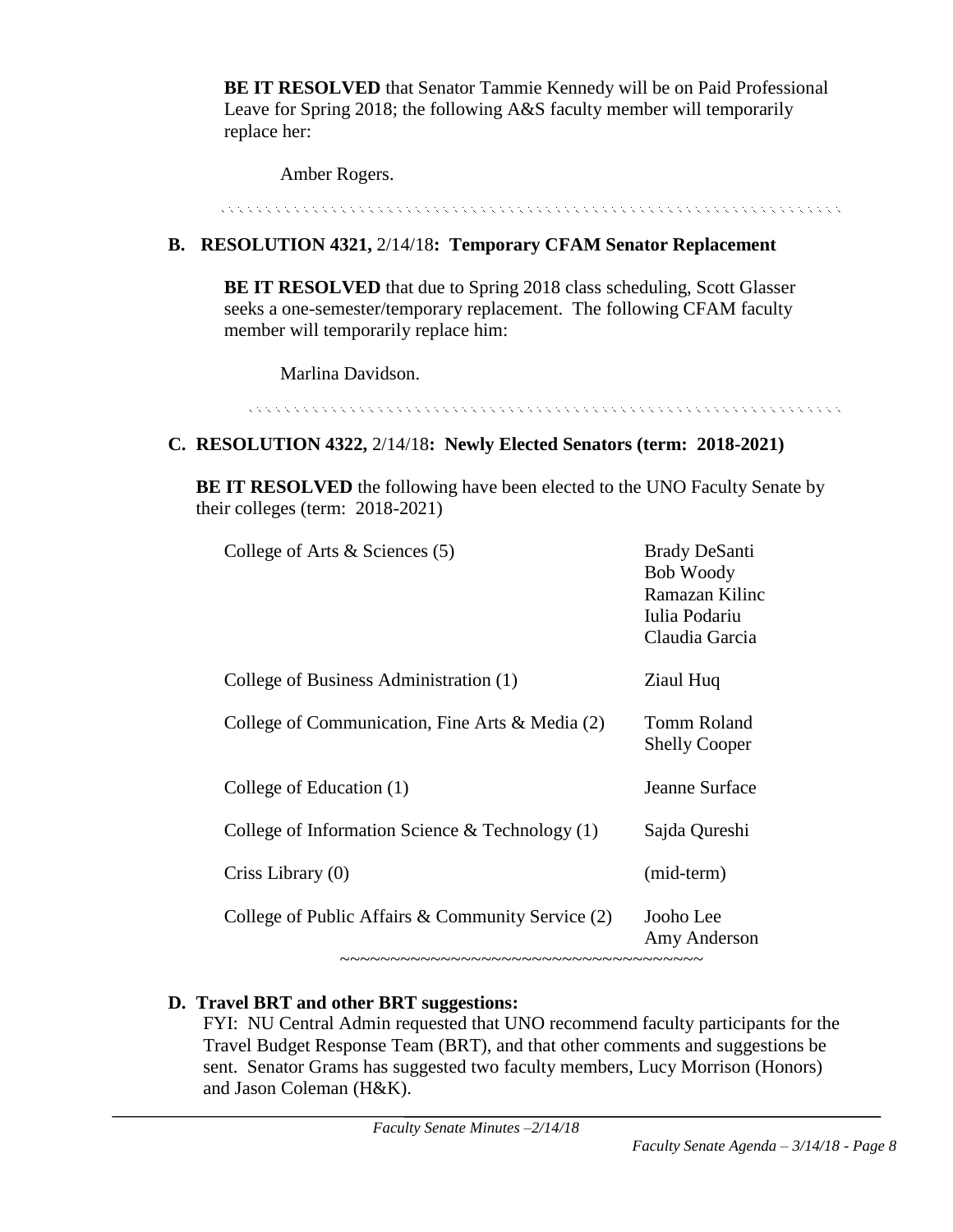**BE IT RESOLVED** that Senator Tammie Kennedy will be on Paid Professional Leave for Spring 2018; the following A&S faculty member will temporarily replace her:

Amber Rogers.

to a la calcula de la calcula de la calcula de la calcula de la calcula de la calcula de la calcula de la calc

# **B. RESOLUTION 4321,** 2/14/18**: Temporary CFAM Senator Replacement**

**BE IT RESOLVED** that due to Spring 2018 class scheduling, Scott Glasser seeks a one-semester/temporary replacement. The following CFAM faculty member will temporarily replace him:

Marlina Davidson.

## **C. RESOLUTION 4322,** 2/14/18**: Newly Elected Senators (term: 2018-2021)**

**BE IT RESOLVED** the following have been elected to the UNO Faculty Senate by their colleges (term: 2018-2021)

| College of Arts $\&$ Sciences (5)                 | <b>Brady DeSanti</b><br><b>Bob Woody</b><br>Ramazan Kilinc<br>Iulia Podariu<br>Claudia Garcia |
|---------------------------------------------------|-----------------------------------------------------------------------------------------------|
| College of Business Administration (1)            | Ziaul Huq                                                                                     |
| College of Communication, Fine Arts & Media (2)   | Tomm Roland<br><b>Shelly Cooper</b>                                                           |
| College of Education (1)                          | Jeanne Surface                                                                                |
| College of Information Science $&$ Technology (1) | Sajda Qureshi                                                                                 |
| Criss Library (0)                                 | (mid-term)                                                                                    |
| College of Public Affairs & Community Service (2) | Jooho Lee<br>Amy Anderson                                                                     |

## **D. Travel BRT and other BRT suggestions:**

FYI: NU Central Admin requested that UNO recommend faculty participants for the Travel Budget Response Team (BRT), and that other comments and suggestions be sent. Senator Grams has suggested two faculty members, Lucy Morrison (Honors) and Jason Coleman (H&K).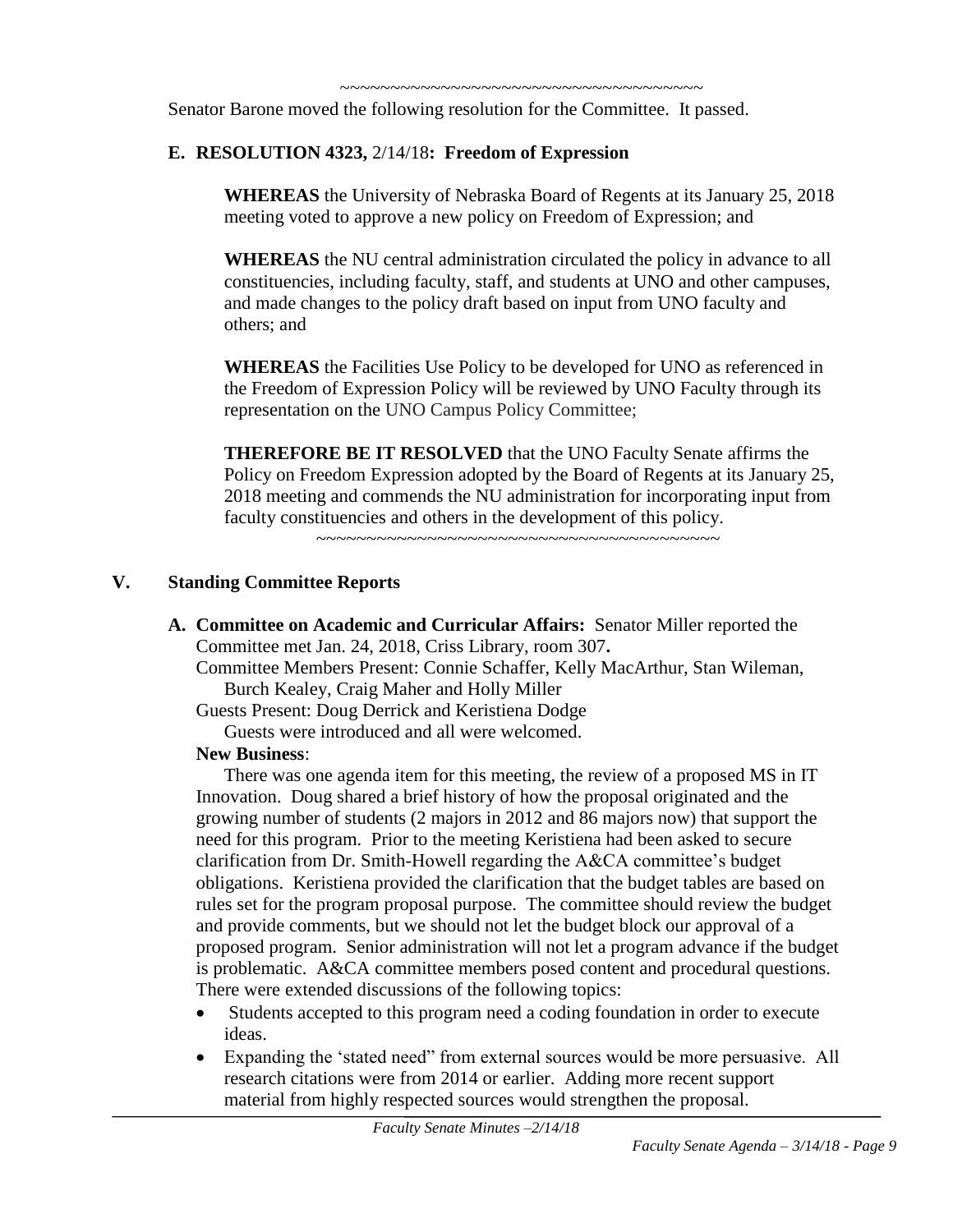~~~~~~~~~~~~~~~~~~~~~~~~~~~~~~~~~~~

Senator Barone moved the following resolution for the Committee. It passed.

# **E. RESOLUTION 4323,** 2/14/18**: Freedom of Expression**

**WHEREAS** the University of Nebraska Board of Regents at its January 25, 2018 meeting voted to approve a new policy on Freedom of Expression; and

**WHEREAS** the NU central administration circulated the policy in advance to all constituencies, including faculty, staff, and students at UNO and other campuses, and made changes to the policy draft based on input from UNO faculty and others; and

**WHEREAS** the Facilities Use Policy to be developed for UNO as referenced in the Freedom of Expression Policy will be reviewed by UNO Faculty through its representation on the UNO Campus Policy Committee;

**THEREFORE BE IT RESOLVED** that the UNO Faculty Senate affirms the Policy on Freedom Expression adopted by the Board of Regents at its January 25, 2018 meeting and commends the NU administration for incorporating input from faculty constituencies and others in the development of this policy.

~~~~~~~~~~~~~~~~~~~~~~~~~~~~~~~~~~~~~~~~

### **V. Standing Committee Reports**

**A. Committee on Academic and Curricular Affairs:** Senator Miller reported the Committee met Jan. 24, 2018, Criss Library, room 307**.**

Committee Members Present: Connie Schaffer, Kelly MacArthur, Stan Wileman, Burch Kealey, Craig Maher and Holly Miller

Guests Present: Doug Derrick and Keristiena Dodge

Guests were introduced and all were welcomed.

## **New Business**:

There was one agenda item for this meeting, the review of a proposed MS in IT Innovation. Doug shared a brief history of how the proposal originated and the growing number of students (2 majors in 2012 and 86 majors now) that support the need for this program. Prior to the meeting Keristiena had been asked to secure clarification from Dr. Smith-Howell regarding the A&CA committee's budget obligations. Keristiena provided the clarification that the budget tables are based on rules set for the program proposal purpose. The committee should review the budget and provide comments, but we should not let the budget block our approval of a proposed program. Senior administration will not let a program advance if the budget is problematic. A&CA committee members posed content and procedural questions. There were extended discussions of the following topics:

- Students accepted to this program need a coding foundation in order to execute ideas.
- Expanding the 'stated need" from external sources would be more persuasive. All research citations were from 2014 or earlier. Adding more recent support material from highly respected sources would strengthen the proposal.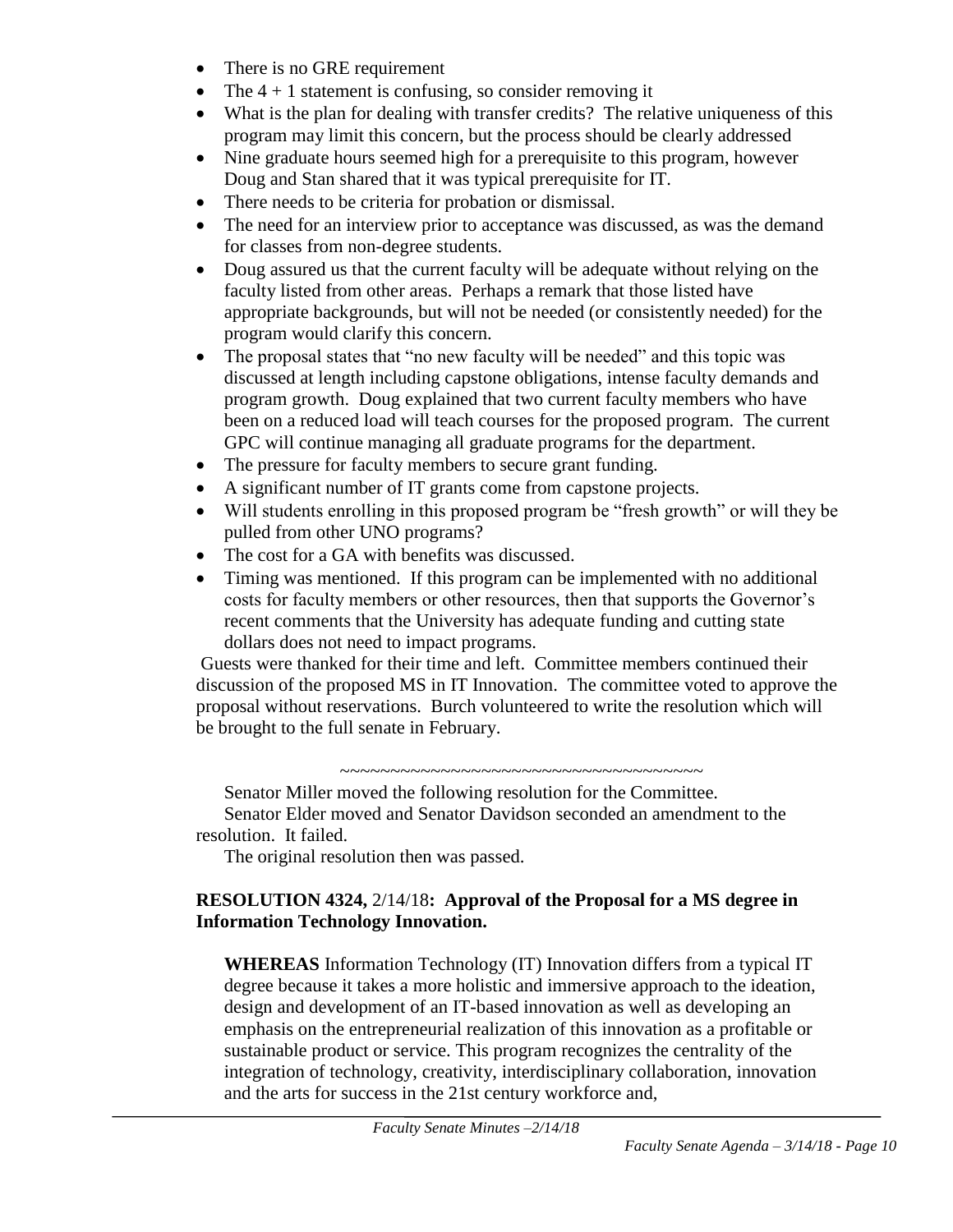- There is no GRE requirement
- The  $4 + 1$  statement is confusing, so consider removing it
- What is the plan for dealing with transfer credits? The relative uniqueness of this program may limit this concern, but the process should be clearly addressed
- Nine graduate hours seemed high for a prerequisite to this program, however Doug and Stan shared that it was typical prerequisite for IT.
- There needs to be criteria for probation or dismissal.
- The need for an interview prior to acceptance was discussed, as was the demand for classes from non-degree students.
- Doug assured us that the current faculty will be adequate without relying on the faculty listed from other areas. Perhaps a remark that those listed have appropriate backgrounds, but will not be needed (or consistently needed) for the program would clarify this concern.
- The proposal states that "no new faculty will be needed" and this topic was discussed at length including capstone obligations, intense faculty demands and program growth. Doug explained that two current faculty members who have been on a reduced load will teach courses for the proposed program. The current GPC will continue managing all graduate programs for the department.
- The pressure for faculty members to secure grant funding.
- A significant number of IT grants come from capstone projects.
- Will students enrolling in this proposed program be "fresh growth" or will they be pulled from other UNO programs?
- The cost for a GA with benefits was discussed.
- Timing was mentioned. If this program can be implemented with no additional costs for faculty members or other resources, then that supports the Governor's recent comments that the University has adequate funding and cutting state dollars does not need to impact programs.

Guests were thanked for their time and left. Committee members continued their discussion of the proposed MS in IT Innovation. The committee voted to approve the proposal without reservations. Burch volunteered to write the resolution which will be brought to the full senate in February.

 $~\cdot$   $~\cdot$   $~\cdot$   $~\cdot$   $~\cdot$   $~\cdot$   $~\cdot$   $~\cdot$   $~\cdot$   $~\cdot$   $~\cdot$   $~\cdot$   $~\cdot$   $~\cdot$   $~\cdot$   $~\cdot$   $~\cdot$   $~\cdot$   $~\cdot$   $~\cdot$   $~\cdot$   $~\cdot$   $~\cdot$   $~\cdot$   $~\cdot$   $~\cdot$   $~\cdot$   $~\cdot$   $~\cdot$   $~\cdot$   $~\cdot$   $~\cdot$   $~\cdot$   $~\cdot$   $~\cdot$   $~\cdot$   $~\cdot$ 

Senator Miller moved the following resolution for the Committee. Senator Elder moved and Senator Davidson seconded an amendment to the resolution. It failed.

The original resolution then was passed.

# **RESOLUTION 4324,** 2/14/18**: Approval of the Proposal for a MS degree in Information Technology Innovation.**

**WHEREAS** Information Technology (IT) Innovation differs from a typical IT degree because it takes a more holistic and immersive approach to the ideation, design and development of an IT-based innovation as well as developing an emphasis on the entrepreneurial realization of this innovation as a profitable or sustainable product or service. This program recognizes the centrality of the integration of technology, creativity, interdisciplinary collaboration, innovation and the arts for success in the 21st century workforce and,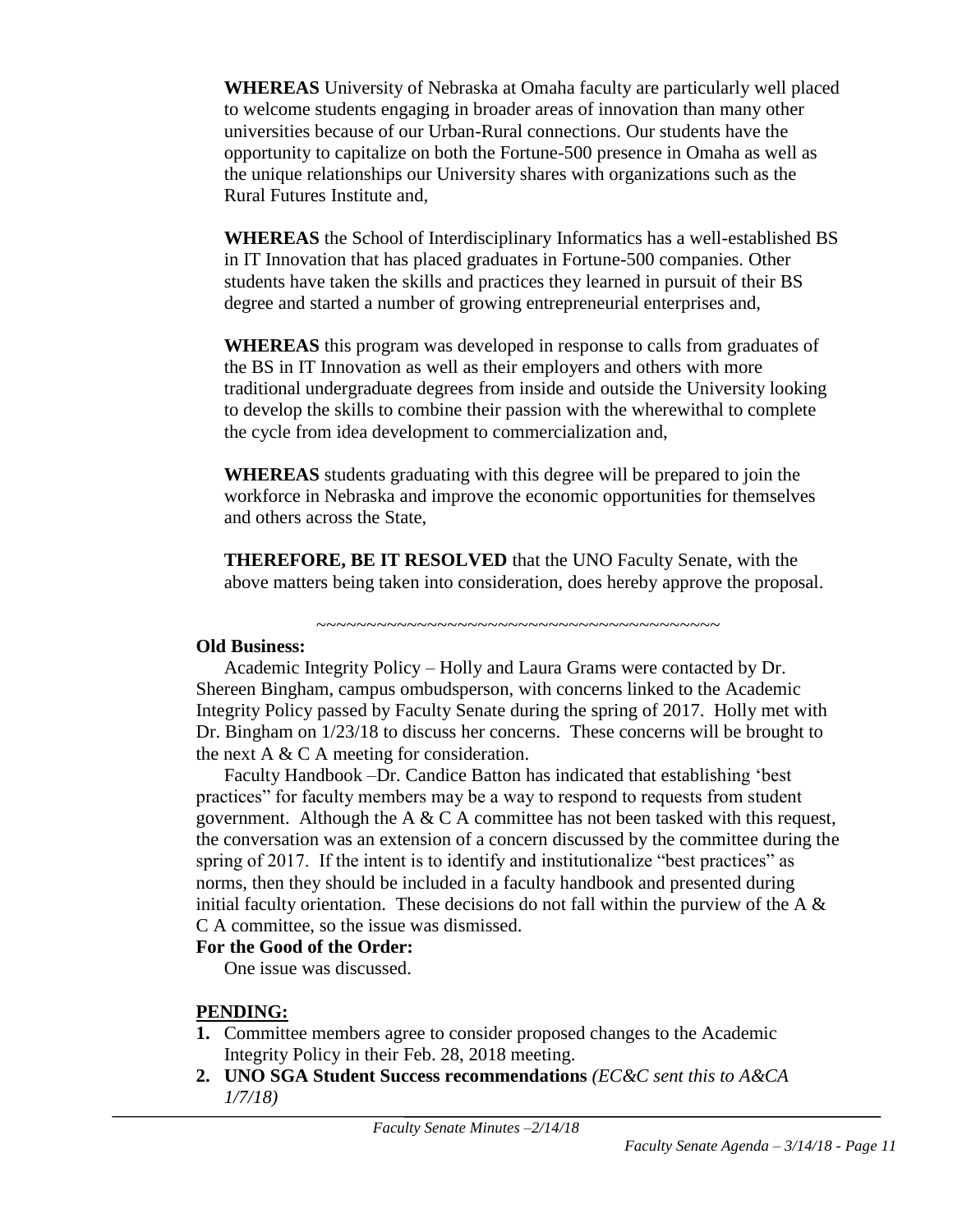**WHEREAS** University of Nebraska at Omaha faculty are particularly well placed to welcome students engaging in broader areas of innovation than many other universities because of our Urban-Rural connections. Our students have the opportunity to capitalize on both the Fortune-500 presence in Omaha as well as the unique relationships our University shares with organizations such as the Rural Futures Institute and,

**WHEREAS** the School of Interdisciplinary Informatics has a well-established BS in IT Innovation that has placed graduates in Fortune-500 companies. Other students have taken the skills and practices they learned in pursuit of their BS degree and started a number of growing entrepreneurial enterprises and,

**WHEREAS** this program was developed in response to calls from graduates of the BS in IT Innovation as well as their employers and others with more traditional undergraduate degrees from inside and outside the University looking to develop the skills to combine their passion with the wherewithal to complete the cycle from idea development to commercialization and,

**WHEREAS** students graduating with this degree will be prepared to join the workforce in Nebraska and improve the economic opportunities for themselves and others across the State,

**THEREFORE, BE IT RESOLVED** that the UNO Faculty Senate, with the above matters being taken into consideration, does hereby approve the proposal.

~~~~~~~~~~~~~~~~~~~~~~~~~~~~~~~~~~~~~~~~

#### **Old Business:**

Academic Integrity Policy – Holly and Laura Grams were contacted by Dr. Shereen Bingham, campus ombudsperson, with concerns linked to the Academic Integrity Policy passed by Faculty Senate during the spring of 2017. Holly met with Dr. Bingham on 1/23/18 to discuss her concerns. These concerns will be brought to the next A  $& C A$  meeting for consideration.

Faculty Handbook –Dr. Candice Batton has indicated that establishing 'best practices" for faculty members may be a way to respond to requests from student government. Although the A  $& C A$  committee has not been tasked with this request, the conversation was an extension of a concern discussed by the committee during the spring of 2017. If the intent is to identify and institutionalize "best practices" as norms, then they should be included in a faculty handbook and presented during initial faculty orientation. These decisions do not fall within the purview of the A  $\&$ C A committee, so the issue was dismissed.

#### **For the Good of the Order:**

One issue was discussed.

## **PENDING:**

- **1.** Committee members agree to consider proposed changes to the Academic Integrity Policy in their Feb. 28, 2018 meeting.
- **2. UNO SGA Student Success recommendations** *(EC&C sent this to A&CA 1/7/18)*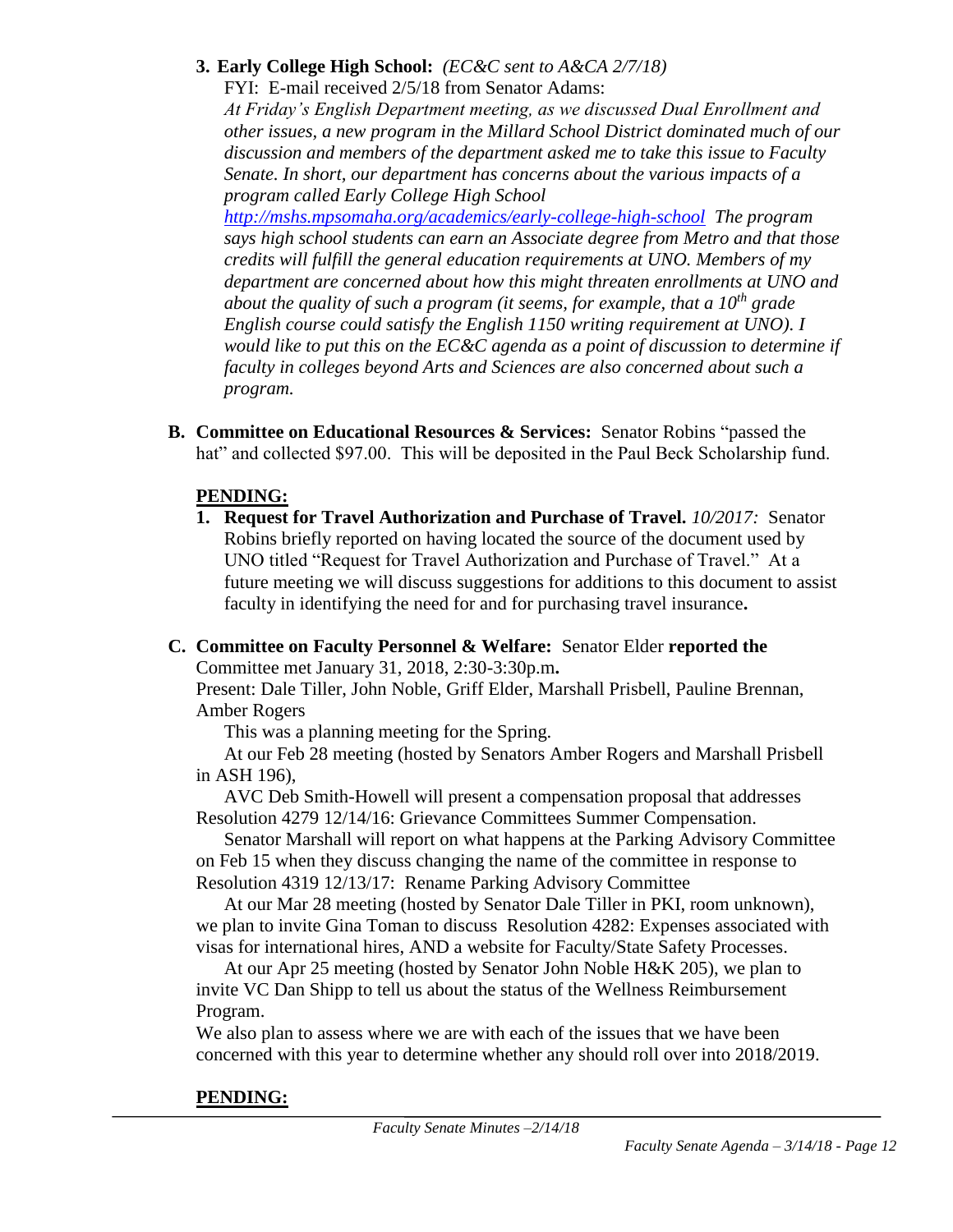## **3. Early College High School:** *(EC&C sent to A&CA 2/7/18)*

FYI: E-mail received 2/5/18 from Senator Adams:

*At Friday's English Department meeting, as we discussed Dual Enrollment and other issues, a new program in the Millard School District dominated much of our discussion and members of the department asked me to take this issue to Faculty Senate. In short, our department has concerns about the various impacts of a program called Early College High School* 

*<http://mshs.mpsomaha.org/academics/early-college-high-school> The program says high school students can earn an Associate degree from Metro and that those credits will fulfill the general education requirements at UNO. Members of my department are concerned about how this might threaten enrollments at UNO and about the quality of such a program (it seems, for example, that a 10th grade English course could satisfy the English 1150 writing requirement at UNO). I would like to put this on the EC&C agenda as a point of discussion to determine if faculty in colleges beyond Arts and Sciences are also concerned about such a program.*

**B. Committee on Educational Resources & Services:** Senator Robins "passed the hat" and collected \$97.00. This will be deposited in the Paul Beck Scholarship fund.

# **PENDING:**

- **1. Request for Travel Authorization and Purchase of Travel.** *10/2017:* Senator Robins briefly reported on having located the source of the document used by UNO titled "Request for Travel Authorization and Purchase of Travel." At a future meeting we will discuss suggestions for additions to this document to assist faculty in identifying the need for and for purchasing travel insurance**.**
- **C. Committee on Faculty Personnel & Welfare:** Senator Elder **reported the** Committee met January 31, 2018, 2:30-3:30p.m**.**

Present: Dale Tiller, John Noble, Griff Elder, Marshall Prisbell, Pauline Brennan, Amber Rogers

This was a planning meeting for the Spring.

At our Feb 28 meeting (hosted by Senators Amber Rogers and Marshall Prisbell in ASH 196),

AVC Deb Smith-Howell will present a compensation proposal that addresses Resolution 4279 12/14/16: Grievance Committees Summer Compensation.

Senator Marshall will report on what happens at the Parking Advisory Committee on Feb 15 when they discuss changing the name of the committee in response to Resolution 4319 12/13/17: Rename Parking Advisory Committee

At our Mar 28 meeting (hosted by Senator Dale Tiller in PKI, room unknown), we plan to invite Gina Toman to discuss Resolution 4282: Expenses associated with visas for international hires, AND a website for Faculty/State Safety Processes.

At our Apr 25 meeting (hosted by Senator John Noble H&K 205), we plan to invite VC Dan Shipp to tell us about the status of the Wellness Reimbursement Program.

We also plan to assess where we are with each of the issues that we have been concerned with this year to determine whether any should roll over into 2018/2019.

# **PENDING:**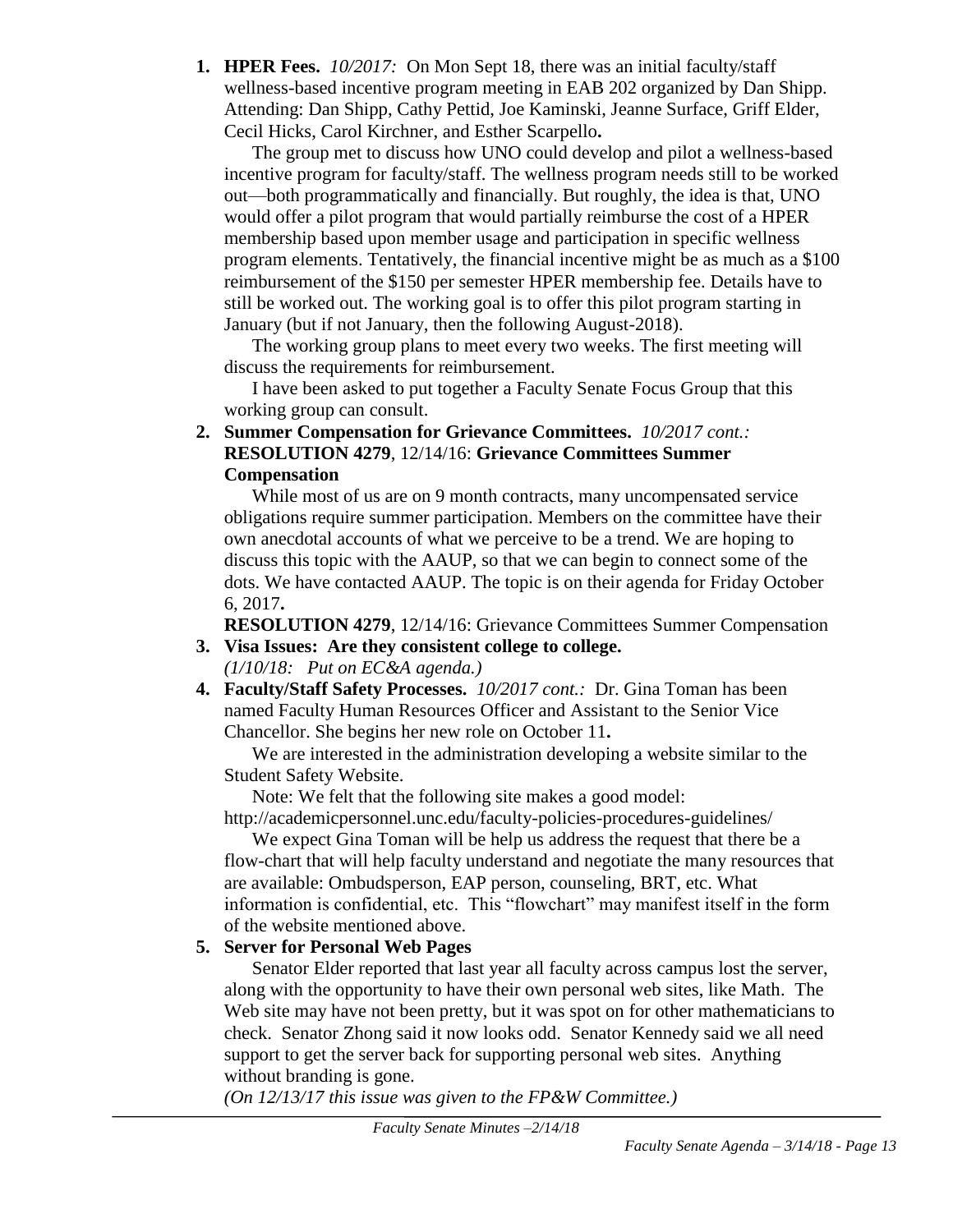**1. HPER Fees.** *10/2017:*On Mon Sept 18, there was an initial faculty/staff wellness-based incentive program meeting in EAB 202 organized by Dan Shipp. Attending: Dan Shipp, Cathy Pettid, Joe Kaminski, Jeanne Surface, Griff Elder, Cecil Hicks, Carol Kirchner, and Esther Scarpello**.**

The group met to discuss how UNO could develop and pilot a wellness-based incentive program for faculty/staff. The wellness program needs still to be worked out—both programmatically and financially. But roughly, the idea is that, UNO would offer a pilot program that would partially reimburse the cost of a HPER membership based upon member usage and participation in specific wellness program elements. Tentatively, the financial incentive might be as much as a \$100 reimbursement of the \$150 per semester HPER membership fee. Details have to still be worked out. The working goal is to offer this pilot program starting in January (but if not January, then the following August-2018).

The working group plans to meet every two weeks. The first meeting will discuss the requirements for reimbursement.

I have been asked to put together a Faculty Senate Focus Group that this working group can consult.

**2. Summer Compensation for Grievance Committees.** *10/2017 cont.:* **RESOLUTION 4279**, 12/14/16: **Grievance Committees Summer Compensation**

While most of us are on 9 month contracts, many uncompensated service obligations require summer participation. Members on the committee have their own anecdotal accounts of what we perceive to be a trend. We are hoping to discuss this topic with the AAUP, so that we can begin to connect some of the dots. We have contacted AAUP. The topic is on their agenda for Friday October 6, 2017**.**

**RESOLUTION 4279**, 12/14/16: Grievance Committees Summer Compensation

- **3. Visa Issues: Are they consistent college to college.** *(1/10/18: Put on EC&A agenda.)*
- **4. Faculty/Staff Safety Processes.** *10/2017 cont.:* Dr. Gina Toman has been named Faculty Human Resources Officer and Assistant to the Senior Vice Chancellor. She begins her new role on October 11**.**

We are interested in the administration developing a website similar to the Student Safety Website.

Note: We felt that the following site makes a good model: http://academicpersonnel.unc.edu/faculty-policies-procedures-guidelines/

We expect Gina Toman will be help us address the request that there be a flow-chart that will help faculty understand and negotiate the many resources that are available: Ombudsperson, EAP person, counseling, BRT, etc. What information is confidential, etc. This "flowchart" may manifest itself in the form of the website mentioned above.

# **5. Server for Personal Web Pages**

Senator Elder reported that last year all faculty across campus lost the server, along with the opportunity to have their own personal web sites, like Math. The Web site may have not been pretty, but it was spot on for other mathematicians to check. Senator Zhong said it now looks odd. Senator Kennedy said we all need support to get the server back for supporting personal web sites. Anything without branding is gone.

*(On 12/13/17 this issue was given to the FP&W Committee.)*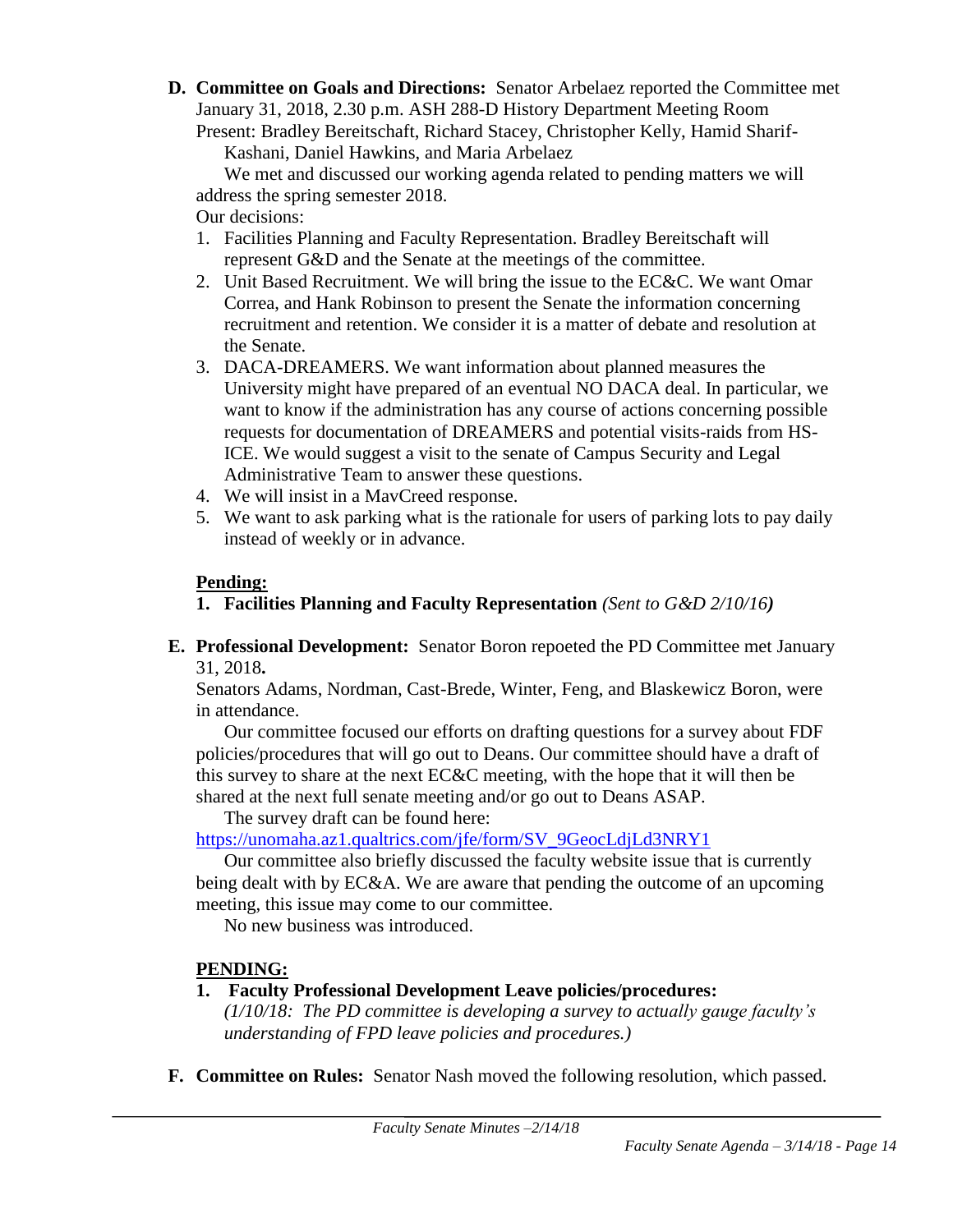**D. Committee on Goals and Directions:** Senator Arbelaez reported the Committee met January 31, 2018, 2.30 p.m. ASH 288-D History Department Meeting Room Present: Bradley Bereitschaft, Richard Stacey, Christopher Kelly, Hamid Sharif-

Kashani, Daniel Hawkins, and Maria Arbelaez

We met and discussed our working agenda related to pending matters we will address the spring semester 2018.

Our decisions:

- 1. Facilities Planning and Faculty Representation. Bradley Bereitschaft will represent G&D and the Senate at the meetings of the committee.
- 2. Unit Based Recruitment. We will bring the issue to the EC&C. We want Omar Correa, and Hank Robinson to present the Senate the information concerning recruitment and retention. We consider it is a matter of debate and resolution at the Senate.
- 3. DACA-DREAMERS. We want information about planned measures the University might have prepared of an eventual NO DACA deal. In particular, we want to know if the administration has any course of actions concerning possible requests for documentation of DREAMERS and potential visits-raids from HS-ICE. We would suggest a visit to the senate of Campus Security and Legal Administrative Team to answer these questions.
- 4. We will insist in a MavCreed response.
- 5. We want to ask parking what is the rationale for users of parking lots to pay daily instead of weekly or in advance.

# **Pending:**

- **1. Facilities Planning and Faculty Representation** *(Sent to G&D 2/10/16)*
- **E. Professional Development:** Senator Boron repoeted the PD Committee met January 31, 2018**.**

Senators Adams, Nordman, Cast-Brede, Winter, Feng, and Blaskewicz Boron, were in attendance.

Our committee focused our efforts on drafting questions for a survey about FDF policies/procedures that will go out to Deans. Our committee should have a draft of this survey to share at the next EC&C meeting, with the hope that it will then be shared at the next full senate meeting and/or go out to Deans ASAP.

The survey draft can be found here:

[https://unomaha.az1.qualtrics.com/jfe/form/SV\\_9GeocLdjLd3NRY1](https://unomaha.az1.qualtrics.com/jfe/form/SV_9GeocLdjLd3NRY1)

Our committee also briefly discussed the faculty website issue that is currently being dealt with by EC&A. We are aware that pending the outcome of an upcoming meeting, this issue may come to our committee.

No new business was introduced.

# **PENDING:**

# **1. Faculty Professional Development Leave policies/procedures:**

*(1/10/18: The PD committee is developing a survey to actually gauge faculty's understanding of FPD leave policies and procedures.)*

**F. Committee on Rules:** Senator Nash moved the following resolution, which passed.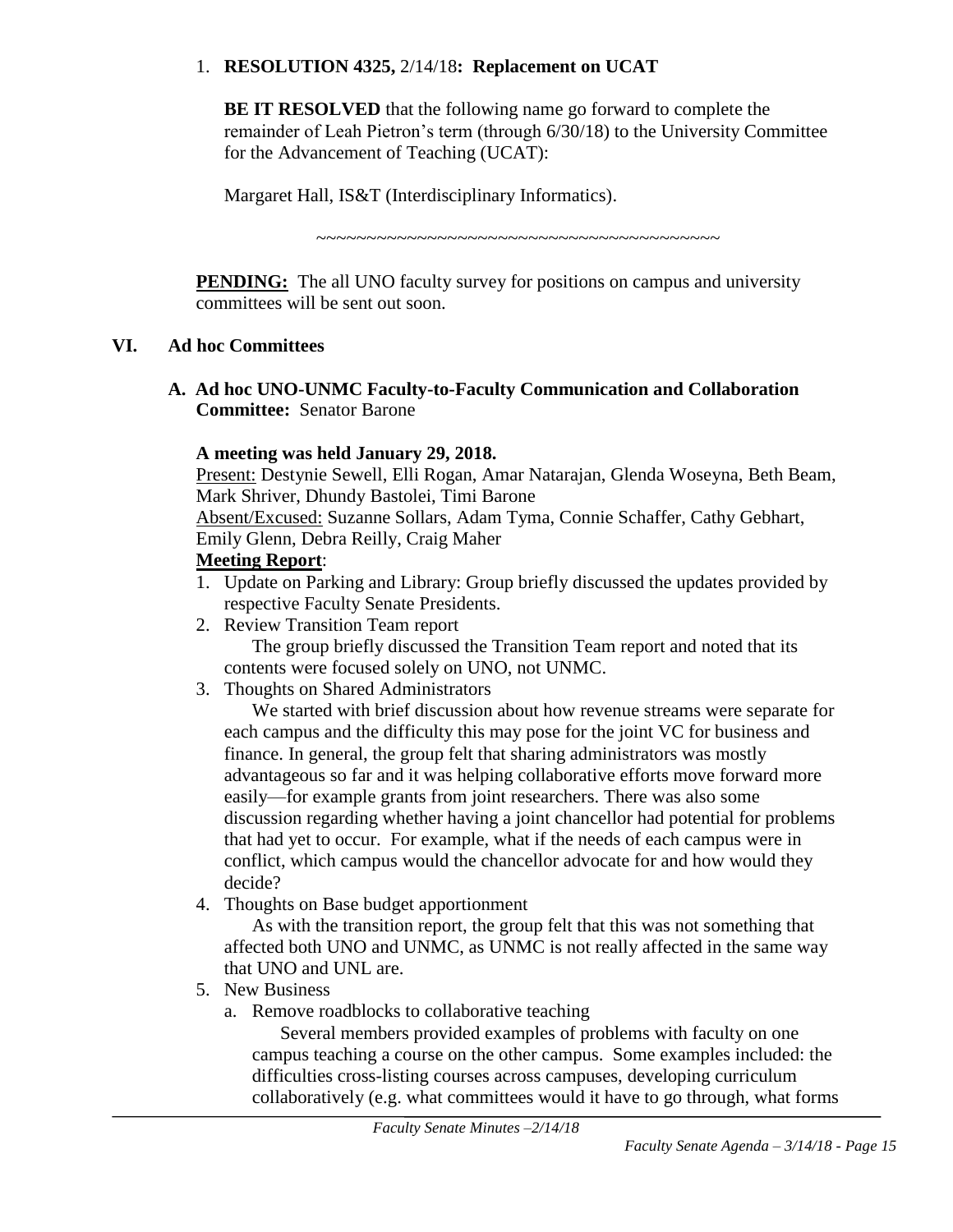## 1. **RESOLUTION 4325,** 2/14/18**: Replacement on UCAT**

**BE IT RESOLVED** that the following name go forward to complete the remainder of Leah Pietron's term (through 6/30/18) to the University Committee for the Advancement of Teaching (UCAT):

Margaret Hall, IS&T (Interdisciplinary Informatics).

~~~~~~~~~~~~~~~~~~~~~~~~~~~~~~~~~~~~~~~~

**PENDING:** The all UNO faculty survey for positions on campus and university committees will be sent out soon.

## **VI. Ad hoc Committees**

**A. Ad hoc UNO-UNMC Faculty-to-Faculty Communication and Collaboration Committee:** Senator Barone

# **A meeting was held January 29, 2018.**

Present: Destynie Sewell, Elli Rogan, Amar Natarajan, Glenda Woseyna, Beth Beam, Mark Shriver, Dhundy Bastolei, Timi Barone

Absent/Excused: Suzanne Sollars, Adam Tyma, Connie Schaffer, Cathy Gebhart, Emily Glenn, Debra Reilly, Craig Maher

## **Meeting Report**:

- 1. Update on Parking and Library: Group briefly discussed the updates provided by respective Faculty Senate Presidents.
- 2. Review Transition Team report

The group briefly discussed the Transition Team report and noted that its contents were focused solely on UNO, not UNMC.

3. Thoughts on Shared Administrators

We started with brief discussion about how revenue streams were separate for each campus and the difficulty this may pose for the joint VC for business and finance. In general, the group felt that sharing administrators was mostly advantageous so far and it was helping collaborative efforts move forward more easily—for example grants from joint researchers. There was also some discussion regarding whether having a joint chancellor had potential for problems that had yet to occur. For example, what if the needs of each campus were in conflict, which campus would the chancellor advocate for and how would they decide?

4. Thoughts on Base budget apportionment

As with the transition report, the group felt that this was not something that affected both UNO and UNMC, as UNMC is not really affected in the same way that UNO and UNL are.

- 5. New Business
	- a. Remove roadblocks to collaborative teaching

Several members provided examples of problems with faculty on one campus teaching a course on the other campus. Some examples included: the difficulties cross-listing courses across campuses, developing curriculum collaboratively (e.g. what committees would it have to go through, what forms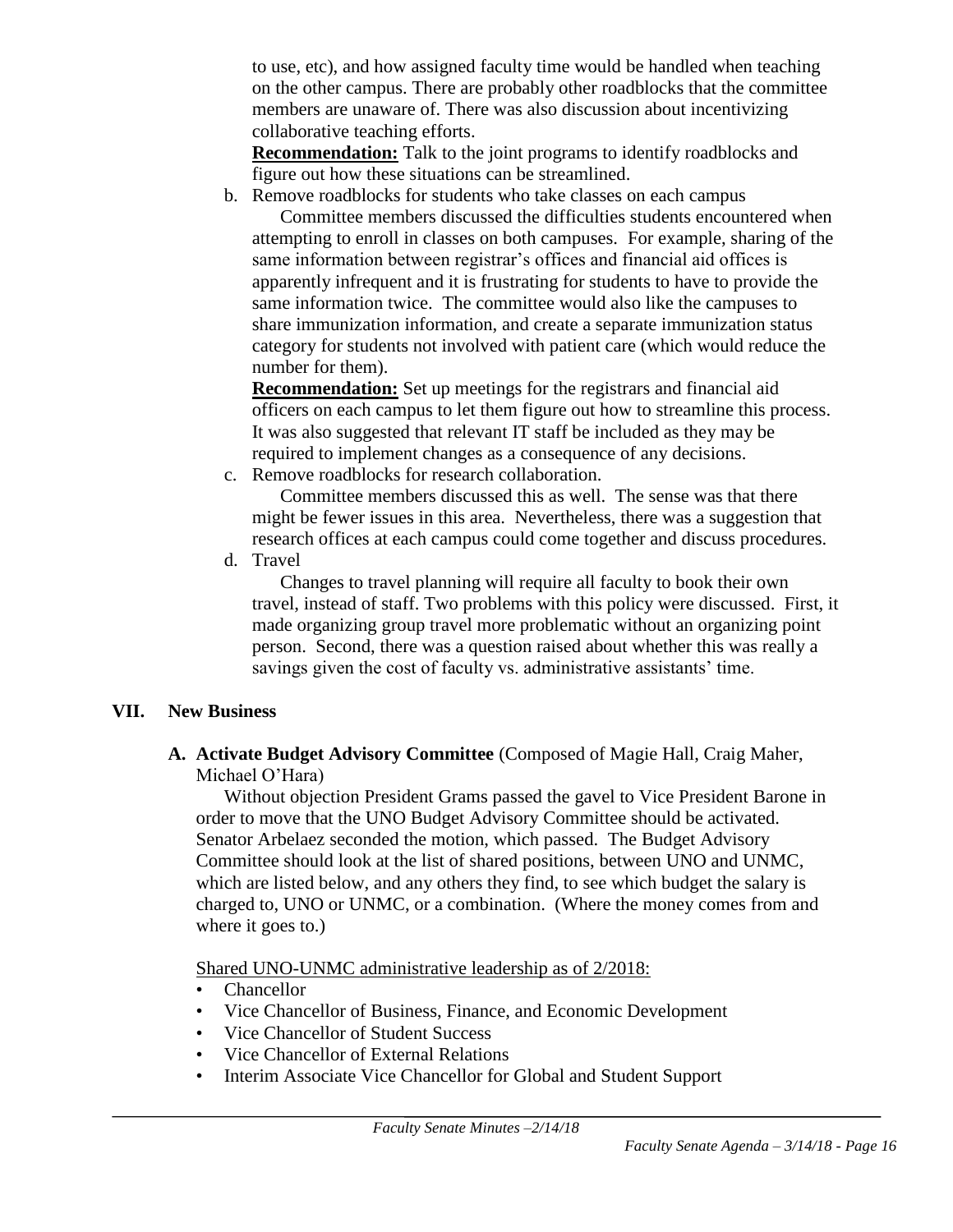to use, etc), and how assigned faculty time would be handled when teaching on the other campus. There are probably other roadblocks that the committee members are unaware of. There was also discussion about incentivizing collaborative teaching efforts.

**Recommendation:** Talk to the joint programs to identify roadblocks and figure out how these situations can be streamlined.

b. Remove roadblocks for students who take classes on each campus

Committee members discussed the difficulties students encountered when attempting to enroll in classes on both campuses. For example, sharing of the same information between registrar's offices and financial aid offices is apparently infrequent and it is frustrating for students to have to provide the same information twice. The committee would also like the campuses to share immunization information, and create a separate immunization status category for students not involved with patient care (which would reduce the number for them).

**Recommendation:** Set up meetings for the registrars and financial aid officers on each campus to let them figure out how to streamline this process. It was also suggested that relevant IT staff be included as they may be required to implement changes as a consequence of any decisions.

c. Remove roadblocks for research collaboration.

Committee members discussed this as well. The sense was that there might be fewer issues in this area. Nevertheless, there was a suggestion that research offices at each campus could come together and discuss procedures.

d. Travel

Changes to travel planning will require all faculty to book their own travel, instead of staff. Two problems with this policy were discussed. First, it made organizing group travel more problematic without an organizing point person. Second, there was a question raised about whether this was really a savings given the cost of faculty vs. administrative assistants' time.

# **VII. New Business**

**A. Activate Budget Advisory Committee** (Composed of Magie Hall, Craig Maher, Michael O'Hara)

Without objection President Grams passed the gavel to Vice President Barone in order to move that the UNO Budget Advisory Committee should be activated. Senator Arbelaez seconded the motion, which passed. The Budget Advisory Committee should look at the list of shared positions, between UNO and UNMC, which are listed below, and any others they find, to see which budget the salary is charged to, UNO or UNMC, or a combination. (Where the money comes from and where it goes to.)

Shared UNO-UNMC administrative leadership as of 2/2018:

- Chancellor
- Vice Chancellor of Business, Finance, and Economic Development
- Vice Chancellor of Student Success
- Vice Chancellor of External Relations
- Interim Associate Vice Chancellor for Global and Student Support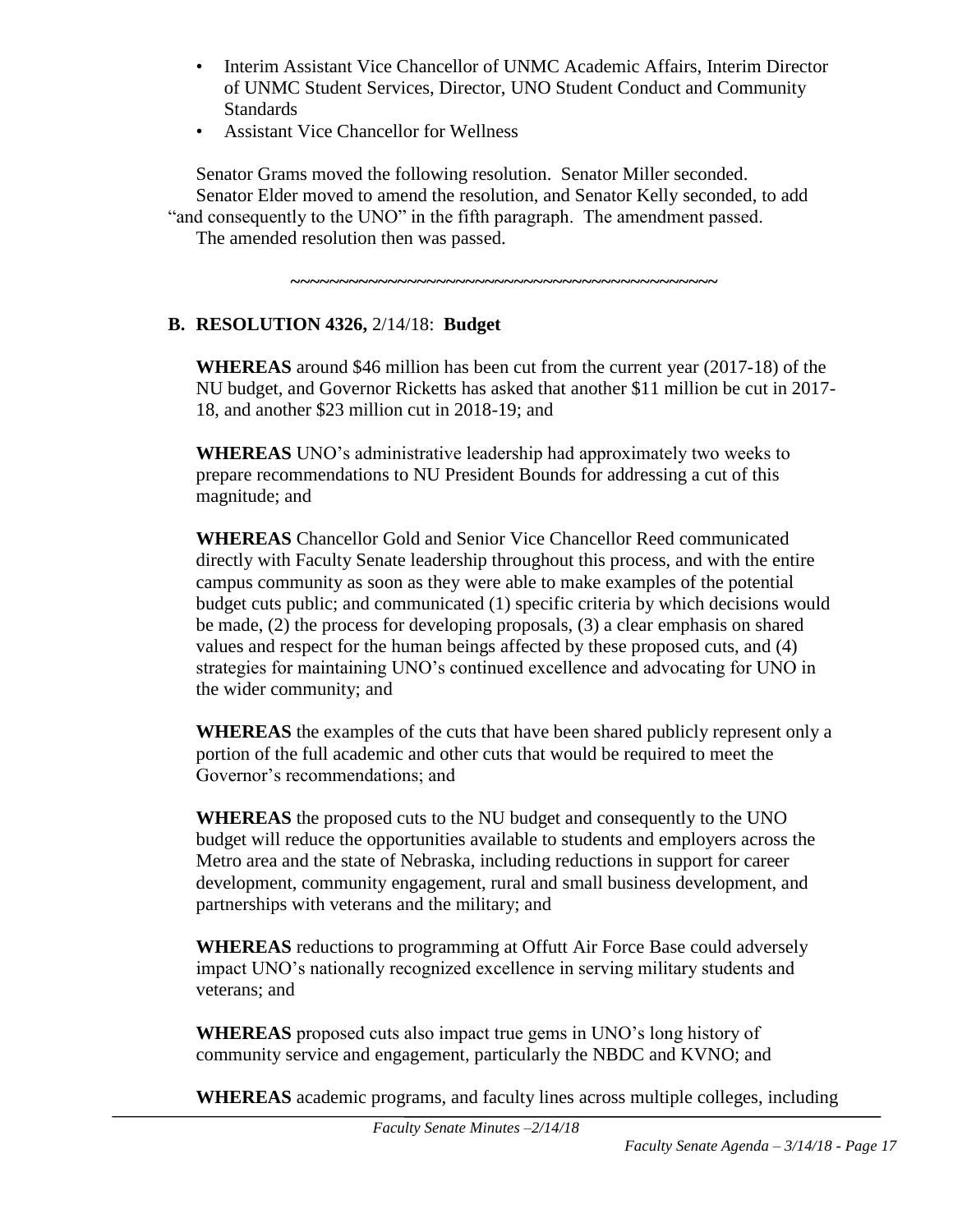- Interim Assistant Vice Chancellor of UNMC Academic Affairs, Interim Director of UNMC Student Services, Director, UNO Student Conduct and Community **Standards**
- Assistant Vice Chancellor for Wellness

Senator Grams moved the following resolution. Senator Miller seconded. Senator Elder moved to amend the resolution, and Senator Kelly seconded, to add "and consequently to the UNO" in the fifth paragraph. The amendment passed.

The amended resolution then was passed.

**~~~~~~~~~~~~~~~~~~~~~~~~~~~~~~~~~~~~~~~~~~~~**

# **B. RESOLUTION 4326,** 2/14/18: **Budget**

**WHEREAS** around \$46 million has been cut from the current year (2017-18) of the NU budget, and Governor Ricketts has asked that another \$11 million be cut in 2017- 18, and another \$23 million cut in 2018-19; and

**WHEREAS** UNO's administrative leadership had approximately two weeks to prepare recommendations to NU President Bounds for addressing a cut of this magnitude; and

**WHEREAS** Chancellor Gold and Senior Vice Chancellor Reed communicated directly with Faculty Senate leadership throughout this process, and with the entire campus community as soon as they were able to make examples of the potential budget cuts public; and communicated (1) specific criteria by which decisions would be made, (2) the process for developing proposals, (3) a clear emphasis on shared values and respect for the human beings affected by these proposed cuts, and (4) strategies for maintaining UNO's continued excellence and advocating for UNO in the wider community; and

**WHEREAS** the examples of the cuts that have been shared publicly represent only a portion of the full academic and other cuts that would be required to meet the Governor's recommendations; and

**WHEREAS** the proposed cuts to the NU budget and consequently to the UNO budget will reduce the opportunities available to students and employers across the Metro area and the state of Nebraska, including reductions in support for career development, community engagement, rural and small business development, and partnerships with veterans and the military; and

**WHEREAS** reductions to programming at Offutt Air Force Base could adversely impact UNO's nationally recognized excellence in serving military students and veterans; and

**WHEREAS** proposed cuts also impact true gems in UNO's long history of community service and engagement, particularly the NBDC and KVNO; and

**WHEREAS** academic programs, and faculty lines across multiple colleges, including